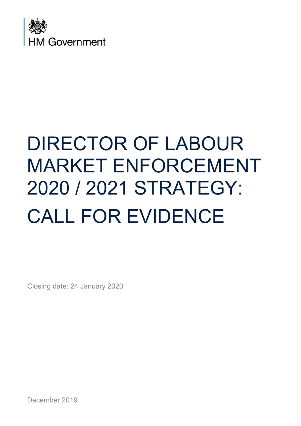

# DIRECTOR OF LABOUR MARKET ENFORCEMENT 2020 / 2021 STRATEGY: CALL FOR EVIDENCE

Closing date: 24 January 2020

December 2019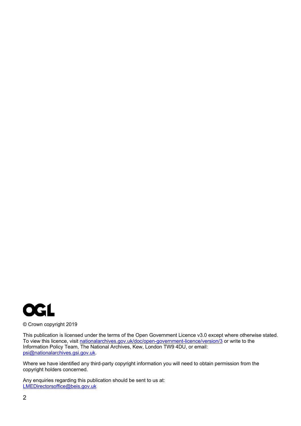

© Crown copyright 2019

This publication is licensed under the terms of the Open Government Licence v3.0 except where otherwise stated. To view this licence, visit nationalarchives.gov.uk/doc/open-government-licence/version/3 or write to the Information Policy Team, The National Archives, Kew, London TW9 4DU, or email: psi@nationalarchives.gsi.gov.uk.

Where we have identified any third-party copyright information you will need to obtain permission from the copyright holders concerned.

Any enquiries regarding this publication should be sent to us at: LMEDirectorsoffice@beis.gov.uk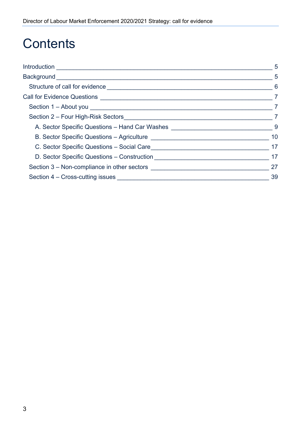## **Contents**

|                                                                                                | 5                          |
|------------------------------------------------------------------------------------------------|----------------------------|
|                                                                                                | $\overline{\phantom{0}}$ 5 |
|                                                                                                | 6                          |
|                                                                                                | $\overline{7}$             |
| Section 1 - About you <b>contained a set of the About you</b>                                  | $\overline{7}$             |
|                                                                                                |                            |
|                                                                                                |                            |
|                                                                                                |                            |
|                                                                                                | 17                         |
|                                                                                                | 17                         |
| Section 3 – Non-compliance in other sectors <b>Section 3</b> – Non-compliance in other sectors | 27                         |
|                                                                                                | 39                         |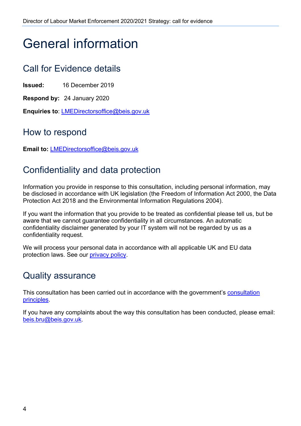## General information

## Call for Evidence details

**Issued:** 16 December 2019

**Respond by:** 24 January 2020

**Enquiries to**: LMEDirectorsoffice@beis.gov.uk

### How to respond

**Email to:** LMEDirectorsoffice@beis.gov.uk

### Confidentiality and data protection

Information you provide in response to this consultation, including personal information, may be disclosed in accordance with UK legislation (the Freedom of Information Act 2000, the Data Protection Act 2018 and the Environmental Information Regulations 2004).

If you want the information that you provide to be treated as confidential please tell us, but be aware that we cannot guarantee confidentiality in all circumstances. An automatic confidentiality disclaimer generated by your IT system will not be regarded by us as a confidentiality request.

We will process your personal data in accordance with all applicable UK and EU data protection laws. See our privacy policy.

### Quality assurance

This consultation has been carried out in accordance with the government's consultation principles.

If you have any complaints about the way this consultation has been conducted, please email: beis.bru@beis.gov.uk.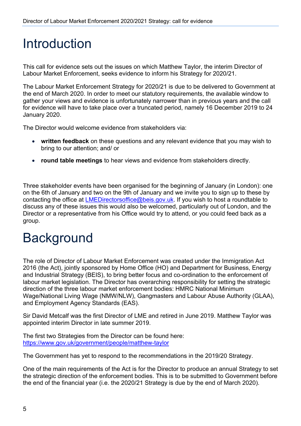## Introduction

This call for evidence sets out the issues on which Matthew Taylor, the interim Director of Labour Market Enforcement, seeks evidence to inform his Strategy for 2020/21.

The Labour Market Enforcement Strategy for 2020/21 is due to be delivered to Government at the end of March 2020. In order to meet our statutory requirements, the available window to gather your views and evidence is unfortunately narrower than in previous years and the call for evidence will have to take place over a truncated period, namely 16 December 2019 to 24 January 2020.

The Director would welcome evidence from stakeholders via:

- **written feedback** on these questions and any relevant evidence that you may wish to bring to our attention; and/ or
- **round table meetings** to hear views and evidence from stakeholders directly.

Three stakeholder events have been organised for the beginning of January (in London): one on the 6th of January and two on the 9th of January and we invite you to sign up to these by contacting the office at LMEDirectorsoffice@beis.gov.uk. If you wish to host a roundtable to discuss any of these issues this would also be welcomed, particularly out of London, and the Director or a representative from his Office would try to attend, or you could feed back as a group.

## **Background**

The role of Director of Labour Market Enforcement was created under the Immigration Act 2016 (the Act), jointly sponsored by Home Office (HO) and Department for Business, Energy and Industrial Strategy (BEIS), to bring better focus and co-ordination to the enforcement of labour market legislation. The Director has overarching responsibility for setting the strategic direction of the three labour market enforcement bodies: HMRC National Minimum Wage/National Living Wage (NMW/NLW), Gangmasters and Labour Abuse Authority (GLAA), and Employment Agency Standards (EAS).

Sir David Metcalf was the first Director of LME and retired in June 2019. Matthew Taylor was appointed interim Director in late summer 2019.

The first two Strategies from the Director can be found here: https://www.gov.uk/government/people/matthew-taylor

The Government has yet to respond to the recommendations in the 2019/20 Strategy.

One of the main requirements of the Act is for the Director to produce an annual Strategy to set the strategic direction of the enforcement bodies. This is to be submitted to Government before the end of the financial year (i.e. the 2020/21 Strategy is due by the end of March 2020).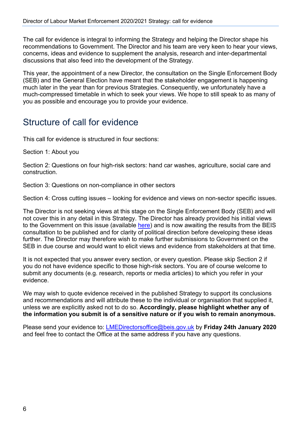The call for evidence is integral to informing the Strategy and helping the Director shape his recommendations to Government. The Director and his team are very keen to hear your views, concerns, ideas and evidence to supplement the analysis, research and inter-departmental discussions that also feed into the development of the Strategy.

This year, the appointment of a new Director, the consultation on the Single Enforcement Body (SEB) and the General Election have meant that the stakeholder engagement is happening much later in the year than for previous Strategies. Consequently, we unfortunately have a much-compressed timetable in which to seek your views. We hope to still speak to as many of you as possible and encourage you to provide your evidence.

## Structure of call for evidence

This call for evidence is structured in four sections:

Section 1: About you

Section 2: Questions on four high-risk sectors: hand car washes, agriculture, social care and construction.

Section 3: Questions on non-compliance in other sectors

Section 4: Cross cutting issues – looking for evidence and views on non-sector specific issues.

The Director is not seeking views at this stage on the Single Enforcement Body (SEB) and will not cover this in any detail in this Strategy. The Director has already provided his initial views to the Government on this issue (available here) and is now awaiting the results from the BEIS consultation to be published and for clarity of political direction before developing these ideas further. The Director may therefore wish to make further submissions to Government on the SEB in due course and would want to elicit views and evidence from stakeholders at that time.

It is not expected that you answer every section, or every question. Please skip Section 2 if you do not have evidence specific to those high-risk sectors. You are of course welcome to submit any documents (e.g. research, reports or media articles) to which you refer in your evidence.

We may wish to quote evidence received in the published Strategy to support its conclusions and recommendations and will attribute these to the individual or organisation that supplied it, unless we are explicitly asked not to do so. **Accordingly, please highlight whether any of the information you submit is of a sensitive nature or if you wish to remain anonymous.**

Please send your evidence to: LMEDirectorsoffice@beis.gov.uk by **Friday 24th January 2020** and feel free to contact the Office at the same address if you have any questions.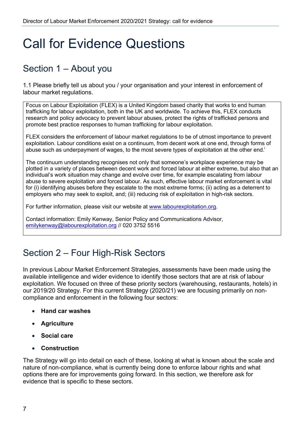## Call for Evidence Questions

## Section 1 – About you

1.1 Please briefly tell us about you / your organisation and your interest in enforcement of labour market regulations.

Focus on Labour Exploitation (FLEX) is a United Kingdom based charity that works to end human trafficking for labour exploitation, both in the UK and worldwide. To achieve this, FLEX conducts research and policy advocacy to prevent labour abuses, protect the rights of trafficked persons and promote best practice responses to human trafficking for labour exploitation.

FLEX considers the enforcement of labour market regulations to be of utmost importance to prevent exploitation. Labour conditions exist on a continuum, from decent work at one end, through forms of abuse such as underpayment of wages, to the most severe types of exploitation at the other end.<sup>i</sup>

The continuum understanding recognises not only that someone's workplace experience may be plotted in a variety of places between decent work and forced labour at either extreme, but also that an individual's work situation may change and evolve over time, for example escalating from labour abuse to severe exploitation and forced labour. As such, effective labour market enforcement is vital for (i) identifying abuses before they escalate to the most extreme forms; (ii) acting as a deterrent to employers who may seek to exploit, and; (iii) reducing risk of exploitation in high-risk sectors.

For further information, please visit our website at www.labourexploitation.org.

Contact information: Emily Kenway, Senior Policy and Communications Advisor, emilykenway@labourexploitation.org // 020 3752 5516

## Section 2 – Four High-Risk Sectors

In previous Labour Market Enforcement Strategies, assessments have been made using the available intelligence and wider evidence to identify those sectors that are at risk of labour exploitation. We focused on three of these priority sectors (warehousing, restaurants, hotels) in our 2019/20 Strategy. For this current Strategy (2020/21) we are focusing primarily on noncompliance and enforcement in the following four sectors:

- **Hand car washes**
- **Agriculture**
- **Social care**
- **Construction**

The Strategy will go into detail on each of these, looking at what is known about the scale and nature of non-compliance, what is currently being done to enforce labour rights and what options there are for improvements going forward. In this section, we therefore ask for evidence that is specific to these sectors.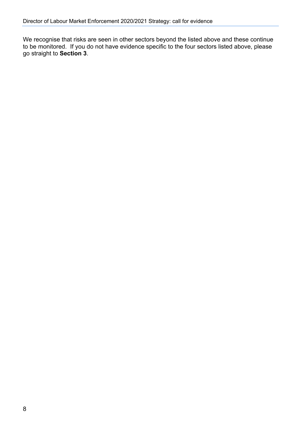We recognise that risks are seen in other sectors beyond the listed above and these continue to be monitored. If you do not have evidence specific to the four sectors listed above, please go straight to **Section 3**.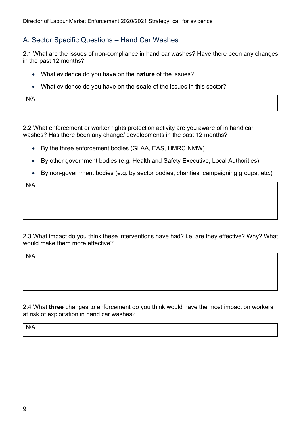#### A. Sector Specific Questions – Hand Car Washes

2.1 What are the issues of non-compliance in hand car washes? Have there been any changes in the past 12 months?

- What evidence do you have on the **nature** of the issues?
- What evidence do you have on the **scale** of the issues in this sector?

N/A

2.2 What enforcement or worker rights protection activity are you aware of in hand car washes? Has there been any change/ developments in the past 12 months?

- By the three enforcement bodies (GLAA, EAS, HMRC NMW)
- By other government bodies (e.g. Health and Safety Executive, Local Authorities)
- By non-government bodies (e.g. by sector bodies, charities, campaigning groups, etc.)

N/A

2.3 What impact do you think these interventions have had? i.e. are they effective? Why? What would make them more effective?

N/A

2.4 What **three** changes to enforcement do you think would have the most impact on workers at risk of exploitation in hand car washes?

N/A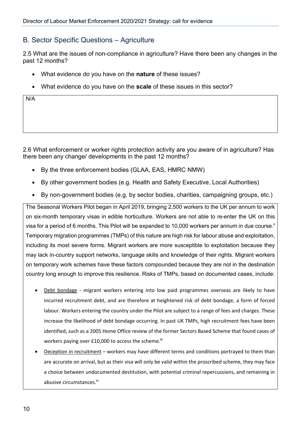#### B. Sector Specific Questions – Agriculture

2.5 What are the issues of non-compliance in agriculture? Have there been any changes in the past 12 months?

- What evidence do you have on the **nature** of these issues?
- What evidence do you have on the **scale** of these issues in this sector?

2.6 What enforcement or worker rights protection activity are you aware of in agriculture? Has there been any change/ developments in the past 12 months?

- By the three enforcement bodies (GLAA, EAS, HMRC NMW)
- By other government bodies (e.g. Health and Safety Executive, Local Authorities)
- By non-government bodies (e.g. by sector bodies, charities, campaigning groups, etc.)

The Seasonal Workers Pilot began in April 2019, bringing 2,500 workers to the UK per annum to work on six-month temporary visas in edible horticulture. Workers are not able to re-enter the UK on this visa for a period of 6 months. This Pilot will be expanded to 10,000 workers per annum in due course.<sup>"</sup> Temporary migration programmes (TMPs) of this nature are high risk for labour abuse and exploitation, including its most severe forms. Migrant workers are more susceptible to exploitation because they may lack in-country support networks, language skills and knowledge of their rights. Migrant workers on temporary work schemes have these factors compounded because they are not in the destination country long enough to improve this resilience. Risks of TMPs, based on documented cases, include:

- Debt bondage migrant workers entering into low paid programmes overseas are likely to have incurred recruitment debt, and are therefore at heightened risk of debt bondage, a form of forced labour. Workers entering the country under the Pilot are subject to a range of fees and charges. These increase the likelihood of debt bondage occurring. In past UK TMPs, high recruitment fees have been identified, such as a 2005 Home Office review of the former Sectors Based Scheme that found cases of workers paying over £10,000 to access the scheme.<sup>iii</sup>
- Deception in recruitment workers may have different terms and conditions portrayed to them than are accurate on arrival, but as their visa will only be valid within the proscribed scheme, they may face a choice between undocumented destitution, with potential criminal repercussions, and remaining in abusive circumstances.<sup>iv</sup>

N/A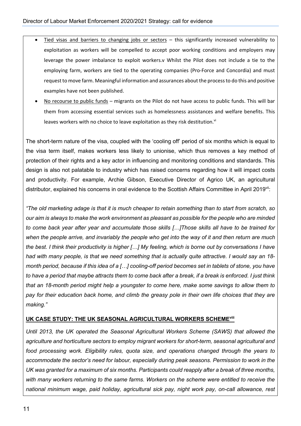- Tied visas and barriers to changing jobs or sectors this significantly increased vulnerability to exploitation as workers will be compelled to accept poor working conditions and employers may leverage the power imbalance to exploit workers.v Whilst the Pilot does not include a tie to the employing farm, workers are tied to the operating companies (Pro-Force and Concordia) and must request to move farm. Meaningful information and assurances about the process to do this and positive examples have not been published.
- No recourse to public funds migrants on the Pilot do not have access to public funds. This will bar them from accessing essential services such as homelessness assistances and welfare benefits. This leaves workers with no choice to leave exploitation as they risk destitution.<sup>vi</sup>

The short-term nature of the visa, coupled with the 'cooling off' period of six months which is equal to the visa term itself, makes workers less likely to unionise, which thus removes a key method of protection of their rights and a key actor in influencing and monitoring conditions and standards. This design is also not palatable to industry which has raised concerns regarding how it will impact costs and productivity. For example, Archie Gibson, Executive Director of Agrico UK, an agricultural distributor, explained his concerns in oral evidence to the Scottish Affairs Committee in April 2019<sup>vii</sup>:

*"The old marketing adage is that it is much cheaper to retain something than to start from scratch, so our aim is always to make the work environment as pleasant as possible for the people who are minded to come back year after year and accumulate those skills […]Those skills all have to be trained for when the people arrive, and invariably the people who get into the way of it and then return are much the best. I think their productivity is higher […] My feeling, which is borne out by conversations I have had with many people, is that we need something that is actually quite attractive. I would say an 18 month period, because if this idea of a […] cooling-off period becomes set in tablets of stone, you have to have a period that maybe attracts them to come back after a break, if a break is enforced. I just think that an 18-month period might help a youngster to come here, make some savings to allow them to pay for their education back home, and climb the greasy pole in their own life choices that they are making."*

#### **UK CASE STUDY: THE UK SEASONAL AGRICULTURAL WORKERS SCHEMEviii**

*Until 2013, the UK operated the Seasonal Agricultural Workers Scheme (SAWS) that allowed the agriculture and horticulture sectors to employ migrant workers for short-term, seasonal agricultural and food processing work. Eligibility rules, quota size, and operations changed through the years to accommodate the sector's need for labour, especially during peak seasons. Permission to work in the UK was granted for a maximum of six months. Participants could reapply after a break of three months, with many workers returning to the same farms. Workers on the scheme were entitled to receive the national minimum wage, paid holiday, agricultural sick pay, night work pay, on-call allowance, rest*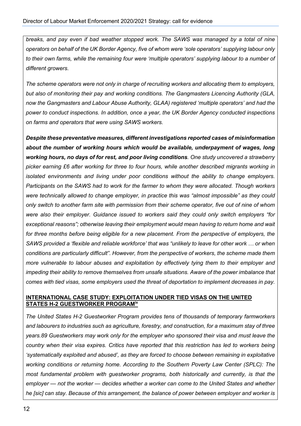*breaks, and pay even if bad weather stopped work. The SAWS was managed by a total of nine operators on behalf of the UK Border Agency, five of whom were 'sole operators' supplying labour only to their own farms, while the remaining four were 'multiple operators' supplying labour to a number of different growers.* 

*The scheme operators were not only in charge of recruiting workers and allocating them to employers, but also of monitoring their pay and working conditions. The Gangmasters Licencing Authority (GLA, now the Gangmasters and Labour Abuse Authority, GLAA) registered 'multiple operators' and had the power to conduct inspections. In addition, once a year, the UK Border Agency conducted inspections on farms and operators that were using SAWS workers.* 

*Despite these preventative measures, different investigations reported cases of misinformation about the number of working hours which would be available, underpayment of wages, long working hours, no days of for rest, and poor living conditions. One study uncovered a strawberry picker earning £6 after working for three to four hours, while another described migrants working in isolated environments and living under poor conditions without the ability to change employers. Participants on the SAWS had to work for the farmer to whom they were allocated. Though workers were technically allowed to change employer, in practice this was "almost impossible" as they could only switch to another farm site with permission from their scheme operator, five out of nine of whom were also their employer. Guidance issued to workers said they could only switch employers "for exceptional reasons"; otherwise leaving their employment would mean having to return home and wait for three months before being eligible for a new placement. From the perspective of employers, the SAWS provided a 'flexible and reliable workforce' that was "unlikely to leave for other work … or when conditions are particularly difficult". However, from the perspective of workers, the scheme made them more vulnerable to labour abuses and exploitation by effectively tying them to their employer and impeding their ability to remove themselves from unsafe situations. Aware of the power imbalance that comes with tied visas, some employers used the threat of deportation to implement decreases in pay.*

#### **INTERNATIONAL CASE STUDY: EXPLOITATION UNDER TIED VISAS ON THE UNITED STATES H-2 GUESTWORKER PROGRAMix**

*The United States H-2 Guestworker Program provides tens of thousands of temporary farmworkers and labourers to industries such as agriculture, forestry, and construction, for a maximum stay of three years.89 Guestworkers may work only for the employer who sponsored their visa and must leave the country when their visa expires. Critics have reported that this restriction has led to workers being 'systematically exploited and abused', as they are forced to choose between remaining in exploitative working conditions or returning home. According to the Southern Poverty Law Center (SPLC): The most fundamental problem with guestworker programs, both historically and currently, is that the employer — not the worker — decides whether a worker can come to the United States and whether he [sic] can stay. Because of this arrangement, the balance of power between employer and worker is*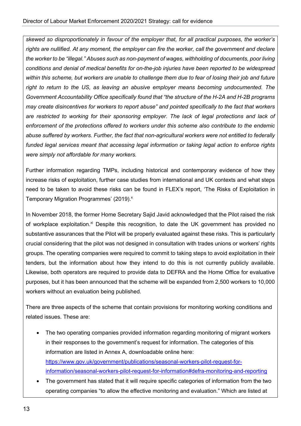*skewed so disproportionately in favour of the employer that, for all practical purposes, the worker's rights are nullified. At any moment, the employer can fire the worker, call the government and declare the worker to be "illegal." Abuses such as non-payment of wages, withholding of documents, poor living conditions and denial of medical benefits for on-the-job injuries have been reported to be widespread within this scheme, but workers are unable to challenge them due to fear of losing their job and future right to return to the US, as leaving an abusive employer means becoming undocumented. The Government Accountability Office specifically found that "the structure of the H-2A and H-2B programs may create disincentives for workers to report abuse" and pointed specifically to the fact that workers are restricted to working for their sponsoring employer. The lack of legal protections and lack of enforcement of the protections offered to workers under this scheme also contribute to the endemic abuse suffered by workers. Further, the fact that non-agricultural workers were not entitled to federally funded legal services meant that accessing legal information or taking legal action to enforce rights were simply not affordable for many workers.*

Further information regarding TMPs, including historical and contemporary evidence of how they increase risks of exploitation, further case studies from international and UK contexts and what steps need to be taken to avoid these risks can be found in FLEX's report, 'The Risks of Exploitation in Temporary Migration Programmes' (2019).<sup>x</sup>

In November 2018, the former Home Secretary Sajid Javid acknowledged that the Pilot raised the risk of workplace exploitation.<sup>xi</sup> Despite this recognition, to date the UK government has provided no substantive assurances that the Pilot will be properly evaluated against these risks. This is particularly crucial considering that the pilot was not designed in consultation with trades unions or workers' rights groups. The operating companies were required to commit to taking steps to avoid exploitation in their tenders, but the information about how they intend to do this is not currently publicly available. Likewise, both operators are required to provide data to DEFRA and the Home Office for evaluative purposes, but it has been announced that the scheme will be expanded from 2,500 workers to 10,000 workers without an evaluation being published.

There are three aspects of the scheme that contain provisions for monitoring working conditions and related issues. These are:

- The two operating companies provided information regarding monitoring of migrant workers in their responses to the government's request for information. The categories of this information are listed in Annex A, downloadable online here: https://www.gov.uk/government/publications/seasonal-workers-pilot-request-forinformation/seasonal-workers-pilot-request-for-information#defra-monitoring-and-reporting
- The government has stated that it will require specific categories of information from the two operating companies "to allow the effective monitoring and evaluation." Which are listed at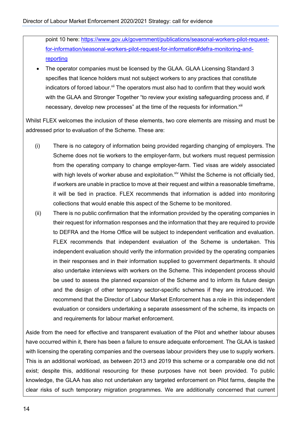point 10 here: https://www.gov.uk/government/publications/seasonal-workers-pilot-requestfor-information/seasonal-workers-pilot-request-for-information#defra-monitoring-andreporting

The operator companies must be licensed by the GLAA. GLAA Licensing Standard 3 specifies that licence holders must not subject workers to any practices that constitute indicators of forced labour.<sup>xii</sup> The operators must also had to confirm that they would work with the GLAA and Stronger Together "to review your existing safeguarding process and, if necessary, develop new processes" at the time of the requests for information.<sup>xiii</sup>

Whilst FLEX welcomes the inclusion of these elements, two core elements are missing and must be addressed prior to evaluation of the Scheme. These are:

- (i) There is no category of information being provided regarding changing of employers. The Scheme does not tie workers to the employer-farm, but workers must request permission from the operating company to change employer-farm. Tied visas are widely associated with high levels of worker abuse and exploitation.<sup>xiv</sup> Whilst the Scheme is not officially tied, if workers are unable in practice to move at their request and within a reasonable timeframe, it will be tied in practice. FLEX recommends that information is added into monitoring collections that would enable this aspect of the Scheme to be monitored.
- (ii) There is no public confirmation that the information provided by the operating companies in their request for information responses and the information that they are required to provide to DEFRA and the Home Office will be subject to independent verification and evaluation. FLEX recommends that independent evaluation of the Scheme is undertaken. This independent evaluation should verify the information provided by the operating companies in their responses and in their information supplied to government departments. It should also undertake interviews with workers on the Scheme. This independent process should be used to assess the planned expansion of the Scheme and to inform its future design and the design of other temporary sector-specific schemes if they are introduced. We recommend that the Director of Labour Market Enforcement has a role in this independent evaluation or considers undertaking a separate assessment of the scheme, its impacts on and requirements for labour market enforcement.

Aside from the need for effective and transparent evaluation of the Pilot and whether labour abuses have occurred within it, there has been a failure to ensure adequate enforcement. The GLAA is tasked with licensing the operating companies and the overseas labour providers they use to supply workers. This is an additional workload, as between 2013 and 2019 this scheme or a comparable one did not exist; despite this, additional resourcing for these purposes have not been provided. To public knowledge, the GLAA has also not undertaken any targeted enforcement on Pilot farms, despite the clear risks of such temporary migration programmes. We are additionally concerned that current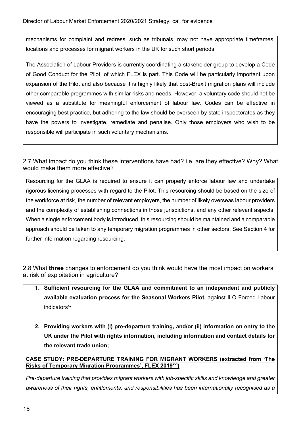mechanisms for complaint and redress, such as tribunals, may not have appropriate timeframes, locations and processes for migrant workers in the UK for such short periods.

The Association of Labour Providers is currently coordinating a stakeholder group to develop a Code of Good Conduct for the Pilot, of which FLEX is part. This Code will be particularly important upon expansion of the Pilot and also because it is highly likely that post-Brexit migration plans will include other comparable programmes with similar risks and needs. However, a voluntary code should not be viewed as a substitute for meaningful enforcement of labour law. Codes can be effective in encouraging best practice, but adhering to the law should be overseen by state inspectorates as they have the powers to investigate, remediate and penalise. Only those employers who wish to be responsible will participate in such voluntary mechanisms.

2.7 What impact do you think these interventions have had? i.e. are they effective? Why? What would make them more effective?

Resourcing for the GLAA is required to ensure it can properly enforce labour law and undertake rigorous licensing processes with regard to the Pilot. This resourcing should be based on the size of the workforce at risk, the number of relevant employers, the number of likely overseas labour providers and the complexity of establishing connections in those jurisdictions, and any other relevant aspects. When a single enforcement body is introduced, this resourcing should be maintained and a comparable approach should be taken to any temporary migration programmes in other sectors. See Section 4 for further information regarding resourcing.

2.8 What **three** changes to enforcement do you think would have the most impact on workers at risk of exploitation in agriculture?

- **1. Sufficient resourcing for the GLAA and commitment to an independent and publicly available evaluation process for the Seasonal Workers Pilot,** against ILO Forced Labour  $indicators^{xv}$
- **2. Providing workers with (i) pre-departure training, and/or (ii) information on entry to the UK under the Pilot with rights information, including information and contact details for the relevant trade union;**

**CASE STUDY: PRE-DEPARTURE TRAINING FOR MIGRANT WORKERS (extracted from 'The Risks of Temporary Migration Programmes', FLEX 2019xvi)**

*Pre-departure training that provides migrant workers with job-specific skills and knowledge and greater awareness of their rights, entitlements, and responsibilities has been internationally recognised as a*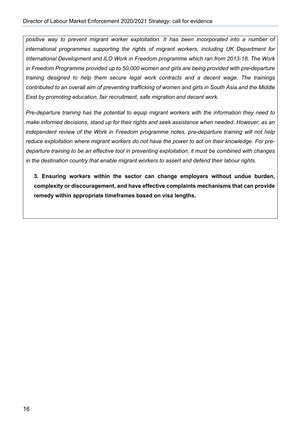*positive way to prevent migrant worker exploitation. It has been incorporated into a number of international programmes supporting the rights of migrant workers, including UK Department for International Development and ILO Work in Freedom programme which ran from 2013-18. The Work in Freedom Programme provided up to 50,000 women and girls are being provided with pre-departure training designed to help them secure legal work contracts and a decent wage. The trainings contributed to an overall aim of preventing trafficking of women and girls in South Asia and the Middle East by promoting education, fair recruitment, safe migration and decent work.* 

*Pre-departure training has the potential to equip migrant workers with the information they need to make informed decisions, stand up for their rights and seek assistance when needed. However, as an independent review of the Work in Freedom programme notes, pre-departure training will not help reduce exploitation where migrant workers do not have the power to act on their knowledge. For predeparture training to be an effective tool in preventing exploitation, it must be combined with changes in the destination country that enable migrant workers to assert and defend their labour rights.*

**3. Ensuring workers within the sector can change employers without undue burden, complexity or discouragement, and have effective complaints mechanisms that can provide remedy within appropriate timeframes based on visa lengths.**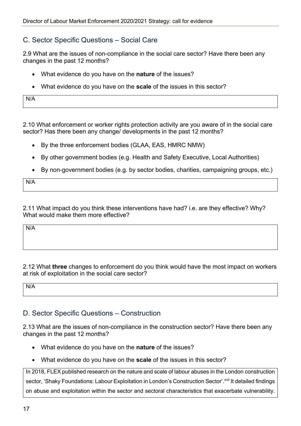#### C. Sector Specific Questions – Social Care

2.9 What are the issues of non-compliance in the social care sector? Have there been any changes in the past 12 months?

- What evidence do you have on the **nature** of the issues?
- What evidence do you have on the **scale** of the issues in this sector?

N/A

2.10 What enforcement or worker rights protection activity are you aware of in the social care sector? Has there been any change/ developments in the past 12 months?

- By the three enforcement bodies (GLAA, EAS, HMRC NMW)
- By other government bodies (e.g. Health and Safety Executive, Local Authorities)
- By non-government bodies (e.g. by sector bodies, charities, campaigning groups, etc.)

N/A

2.11 What impact do you think these interventions have had? i.e. are they effective? Why? What would make them more effective?

N/A

2.12 What **three** changes to enforcement do you think would have the most impact on workers at risk of exploitation in the social care sector?

N/A

#### D. Sector Specific Questions – Construction

2.13 What are the issues of non-compliance in the construction sector? Have there been any changes in the past 12 months?

- What evidence do you have on the **nature** of the issues?
- What evidence do you have on the **scale** of the issues in this sector?

In 2018, FLEX published research on the nature and scale of labour abuses in the London construction sector, 'Shaky Foundations: Labour Exploitation in London's Construction Sector'. XVII It detailed findings on abuse and exploitation within the sector and sectoral characteristics that exacerbate vulnerability.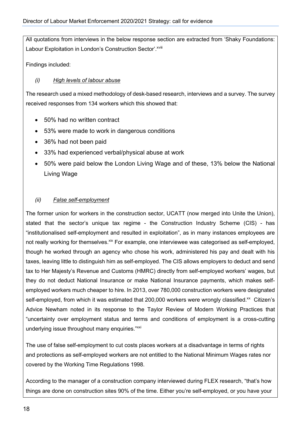All quotations from interviews in the below response section are extracted from 'Shaky Foundations: Labour Exploitation in London's Construction Sector'. XVIII

Findings included:

#### *(i) High levels of labour abuse*

The research used a mixed methodology of desk-based research, interviews and a survey. The survey received responses from 134 workers which this showed that:

- 50% had no written contract
- 53% were made to work in dangerous conditions
- 36% had not been paid
- 33% had experienced verbal/physical abuse at work
- 50% were paid below the London Living Wage and of these, 13% below the National Living Wage

#### *(ii) False self-employment*

The former union for workers in the construction sector, UCATT (now merged into Unite the Union), stated that the sector's unique tax regime - the Construction Industry Scheme (CIS) - has "institutionalised self-employment and resulted in exploitation", as in many instances employees are not really working for themselves.<sup>xix</sup> For example, one interviewee was categorised as self-employed, though he worked through an agency who chose his work, administered his pay and dealt with his taxes, leaving little to distinguish him as self-employed. The CIS allows employers to deduct and send tax to Her Majesty's Revenue and Customs (HMRC) directly from self-employed workers' wages, but they do not deduct National Insurance or make National Insurance payments, which makes selfemployed workers much cheaper to hire. In 2013, over 780,000 construction workers were designated self-employed, from which it was estimated that 200,000 workers were wrongly classified.<sup>xx</sup> Citizen's Advice Newham noted in its response to the Taylor Review of Modern Working Practices that "uncertainty over employment status and terms and conditions of employment is a cross-cutting underlying issue throughout many enquiries."xxi

The use of false self-employment to cut costs places workers at a disadvantage in terms of rights and protections as self-employed workers are not entitled to the National Minimum Wages rates nor covered by the Working Time Regulations 1998.

According to the manager of a construction company interviewed during FLEX research, "that's how things are done on construction sites 90% of the time. Either you're self-employed, or you have your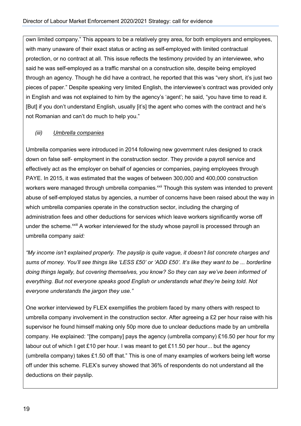own limited company." This appears to be a relatively grey area, for both employers and employees, with many unaware of their exact status or acting as self-employed with limited contractual protection, or no contract at all. This issue reflects the testimony provided by an interviewee, who said he was self-employed as a traffic marshal on a construction site, despite being employed through an agency. Though he did have a contract, he reported that this was "very short, it's just two pieces of paper." Despite speaking very limited English, the interviewee's contract was provided only in English and was not explained to him by the agency's 'agent'; he said, "you have time to read it. [But] if you don't understand English, usually [it's] the agent who comes with the contract and he's not Romanian and can't do much to help you."

#### *(iii) Umbrella companies*

Umbrella companies were introduced in 2014 following new government rules designed to crack down on false self- employment in the construction sector. They provide a payroll service and effectively act as the employer on behalf of agencies or companies, paying employees through PAYE. In 2015, it was estimated that the wages of between 300,000 and 400,000 construction workers were managed through umbrella companies.<sup>xxii</sup> Though this system was intended to prevent abuse of self-employed status by agencies, a number of concerns have been raised about the way in which umbrella companies operate in the construction sector, including the charging of administration fees and other deductions for services which leave workers significantly worse off under the scheme.<sup>XXIII</sup> A worker interviewed for the study whose payroll is processed through an umbrella company *said:* 

*"My income isn't explained properly. The payslip is quite vague, it doesn't list concrete charges and sums of money. You'll see things like 'LESS £50' or 'ADD £50'. It's like they want to be ... borderline doing things legally, but covering themselves, you know? So they can say we've been informed of everything. But not everyone speaks good English or understands what they're being told. Not everyone understands the jargon they use."* 

One worker interviewed by FLEX exemplifies the problem faced by many others with respect to umbrella company involvement in the construction sector. After agreeing a £2 per hour raise with his supervisor he found himself making only 50p more due to unclear deductions made by an umbrella company. He explained: "[the company] pays the agency (umbrella company) £16.50 per hour for my labour out of which I get £10 per hour. I was meant to get £11.50 per hour... but the agency (umbrella company) takes £1.50 off that." This is one of many examples of workers being left worse off under this scheme. FLEX's survey showed that 36% of respondents do not understand all the deductions on their payslip.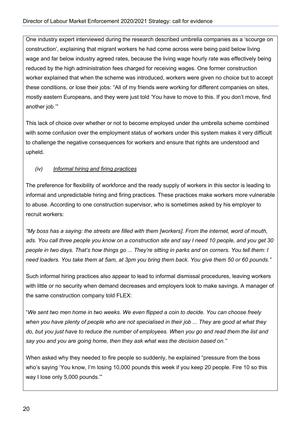One industry expert interviewed during the research described umbrella companies as a 'scourge on construction', explaining that migrant workers he had come across were being paid below living wage and far below industry agreed rates, because the living wage hourly rate was effectively being reduced by the high administration fees charged for receiving wages. One former construction worker explained that when the scheme was introduced, workers were given no choice but to accept these conditions, or lose their jobs: "All of my friends were working for different companies on sites, mostly eastern Europeans, and they were just told 'You have to move to this. If you don't move, find another job.'"

This lack of choice over whether or not to become employed under the umbrella scheme combined with some confusion over the employment status of workers under this system makes it very difficult to challenge the negative consequences for workers and ensure that rights are understood and upheld.

#### *(iv) Informal hiring and firing practices*

The preference for flexibility of workforce and the ready supply of workers in this sector is leading to informal and unpredictable hiring and firing practices. These practices make workers more vulnerable to abuse. According to one construction supervisor, who is sometimes asked by his employer to recruit workers:

*"My boss has a saying: the streets are filled with them [workers]. From the internet, word of mouth, ads. You call three people you know on a construction site and say I need 10 people, and you get 30 people in two days. That's how things go ... They're sitting in parks and on corners. You tell them: I need loaders. You take them at 5am, at 3pm you bring them back. You give them 50 or 60 pounds."* 

Such informal hiring practices also appear to lead to informal dismissal procedures, leaving workers with little or no security when demand decreases and employers look to make savings. A manager of the same construction company told FLEX:

"*We sent two men home in two weeks. We even flipped a coin to decide. You can choose freely when you have plenty of people who are not specialised in their job ... They are good at what they do, but you just have to reduce the number of employees. When you go and read them the list and say you and you are going home, then they ask what was the decision based on."*

When asked why they needed to fire people so suddenly, he explained "pressure from the boss who's saying 'You know, I'm losing 10,000 pounds this week if you keep 20 people. Fire 10 so this way I lose only 5,000 pounds.'"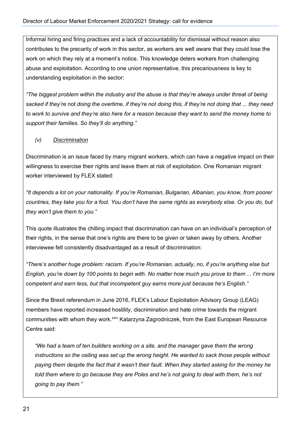Informal hiring and firing practices and a lack of accountability for dismissal without reason also contributes to the precarity of work in this sector, as workers are well aware that they could lose the work on which they rely at a moment's notice. This knowledge deters workers from challenging abuse and exploitation. According to one union representative, this precariousness is key to understanding exploitation in the sector:

*"The biggest problem within the industry and the abuse is that they're always under threat of being sacked if they're not doing the overtime, if they're not doing this, if they're not doing that ... they need to work to survive and they're also here for a reason because they want to send the money home to support their families. So they'll do anything."* 

*(v) Discrimination*

Discrimination is an issue faced by many migrant workers, which can have a negative impact on their willingness to exercise their rights and leave them at risk of exploitation. One Romanian migrant worker interviewed by FLEX stated:

*"It depends a lot on your nationality. If you're Romanian, Bulgarian, Albanian, you know, from poorer countries, they take you for a fool. You don't have the same rights as everybody else. Or you do, but they won't give them to you."* 

This quote illustrates the chilling impact that discrimination can have on an individual's perception of their rights, in the sense that one's rights are there to be given or taken away by others. Another interviewee felt consistently disadvantaged as a result of discrimination:

*"There's another huge problem: racism. If you're Romanian, actually, no, if you're anything else but English, you're down by 100 points to begin with. No matter how much you prove to them ... I'm more competent and earn less, but that incompetent guy earns more just because he's English."* 

Since the Brexit referendum in June 2016, FLEX's Labour Exploitation Advisory Group (LEAG) members have reported increased hostility, discrimination and hate crime towards the migrant communities with whom they work.<sup>xxiv</sup> Katarzyna Zagrodniczek, from the East European Resource Centre said:

*"We had a team of ten builders working on a site, and the manager gave them the wrong instructions so the ceiling was set up the wrong height. He wanted to sack those people without paying them despite the fact that it wasn't their fault. When they started asking for the money he told them where to go because they are Poles and he's not going to deal with them, he's not going to pay them."*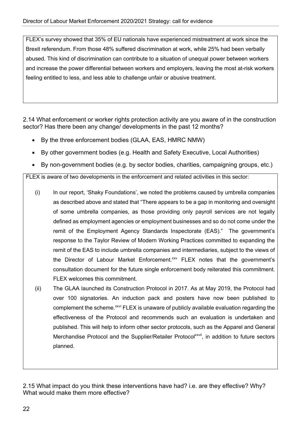FLEX's survey showed that 35% of EU nationals have experienced mistreatment at work since the Brexit referendum. From those 48% suffered discrimination at work, while 25% had been verbally abused. This kind of discrimination can contribute to a situation of unequal power between workers and increase the power differential between workers and employers, leaving the most at-risk workers feeling entitled to less, and less able to challenge unfair or abusive treatment.

2.14 What enforcement or worker rights protection activity are you aware of in the construction sector? Has there been any change/ developments in the past 12 months?

- By the three enforcement bodies (GLAA, EAS, HMRC NMW)
- By other government bodies (e.g. Health and Safety Executive, Local Authorities)
- By non-government bodies (e.g. by sector bodies, charities, campaigning groups, etc.)

FLEX is aware of two developments in the enforcement and related activities in this sector:

- (i) In our report, 'Shaky Foundations', we noted the problems caused by umbrella companies as described above and stated that "There appears to be a gap in monitoring and oversight of some umbrella companies, as those providing only payroll services are not legally defined as employment agencies or employment businesses and so do not come under the remit of the Employment Agency Standards Inspectorate (EAS)." The government's response to the Taylor Review of Modern Working Practices committed to expanding the remit of the EAS to include umbrella companies and intermediaries, subject to the views of the Director of Labour Market Enforcement.<sup>xxv</sup> FLEX notes that the government's consultation document for the future single enforcement body reiterated this commitment. FLEX welcomes this commitment.
- (ii) The GLAA launched its Construction Protocol in 2017. As at May 2019, the Protocol had over 100 signatories. An induction pack and posters have now been published to complement the scheme.<sup>xxvi</sup> FLEX is unaware of publicly available evaluation regarding the effectiveness of the Protocol and recommends such an evaluation is undertaken and published. This will help to inform other sector protocols, such as the Apparel and General Merchandise Protocol and the Supplier/Retailer Protocol<sup>xxvii</sup>, in addition to future sectors planned.

2.15 What impact do you think these interventions have had? i.e. are they effective? Why? What would make them more effective?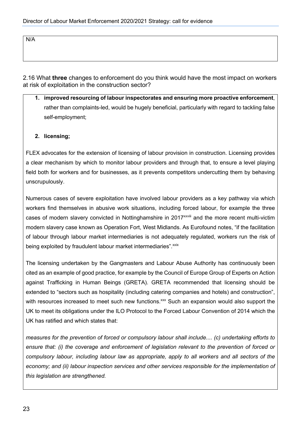N/A

2.16 What **three** changes to enforcement do you think would have the most impact on workers at risk of exploitation in the construction sector?

**1. improved resourcing of labour inspectorates and ensuring more proactive enforcement**, rather than complaints-led, would be hugely beneficial, particularly with regard to tackling false self-employment;

#### **2. licensing;**

FLEX advocates for the extension of licensing of labour provision in construction. Licensing provides a clear mechanism by which to monitor labour providers and through that, to ensure a level playing field both for workers and for businesses, as it prevents competitors undercutting them by behaving unscrupulously.

Numerous cases of severe exploitation have involved labour providers as a key pathway via which workers find themselves in abusive work situations, including forced labour, for example the three cases of modern slavery convicted in Nottinghamshire in 2017<sup>xxviii</sup> and the more recent multi-victim modern slavery case known as Operation Fort, West Midlands. As Eurofound notes, "if the facilitation of labour through labour market intermediaries is not adequately regulated, workers run the risk of being exploited by fraudulent labour market intermediaries". xxix

The licensing undertaken by the Gangmasters and Labour Abuse Authority has continuously been cited as an example of good practice, for example by the Council of Europe Group of Experts on Action against Trafficking in Human Beings (GRETA). GRETA recommended that licensing should be extended to "sectors such as hospitality (including catering companies and hotels) and construction", with resources increased to meet such new functions.<sup>xxx</sup> Such an expansion would also support the UK to meet its obligations under the ILO Protocol to the Forced Labour Convention of 2014 which the UK has ratified and which states that:

*measures for the prevention of forced or compulsory labour shall include.... (c) undertaking efforts to ensure that: (i) the coverage and enforcement of legislation relevant to the prevention of forced or compulsory labour, including labour law as appropriate, apply to all workers and all sectors of the economy; and (ii) labour inspection services and other services responsible for the implementation of this legislation are strengthened.*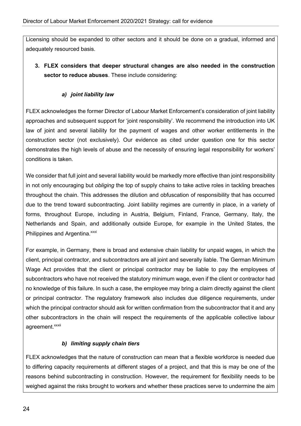Licensing should be expanded to other sectors and it should be done on a gradual, informed and adequately resourced basis.

**3. FLEX considers that deeper structural changes are also needed in the construction sector to reduce abuses**. These include considering:

#### *a) joint liability law*

FLEX acknowledges the former Director of Labour Market Enforcement's consideration of joint liability approaches and subsequent support for 'joint responsibility'. We recommend the introduction into UK law of joint and several liability for the payment of wages and other worker entitlements in the construction sector (not exclusively). Our evidence as cited under question one for this sector demonstrates the high levels of abuse and the necessity of ensuring legal responsibility for workers' conditions is taken.

We consider that full joint and several liability would be markedly more effective than joint responsibility in not only encouraging but *obliging* the top of supply chains to take active roles in tackling breaches throughout the chain. This addresses the dilution and obfuscation of responsibility that has occurred due to the trend toward subcontracting. Joint liability regimes are currently in place, in a variety of forms, throughout Europe, including in Austria, Belgium, Finland, France, Germany, Italy, the Netherlands and Spain, and additionally outside Europe, for example in the United States, the Philippines and Argentina.<sup>xxxi</sup>

For example, in Germany, there is broad and extensive chain liability for unpaid wages, in which the client, principal contractor, and subcontractors are all joint and severally liable. The German Minimum Wage Act provides that the client or principal contractor may be liable to pay the employees of subcontractors who have not received the statutory minimum wage, even if the client or contractor had no knowledge of this failure. In such a case, the employee may bring a claim directly against the client or principal contractor. The regulatory framework also includes due diligence requirements, under which the principal contractor should ask for written confirmation from the subcontractor that it and any other subcontractors in the chain will respect the requirements of the applicable collective labour agreement.<sup>xxxii</sup>

#### *b) limiting supply chain tiers*

FLEX acknowledges that the nature of construction can mean that a flexible workforce is needed due to differing capacity requirements at different stages of a project, and that this is may be one of the reasons behind subcontracting in construction. However, the requirement for flexibility needs to be weighed against the risks brought to workers and whether these practices serve to undermine the aim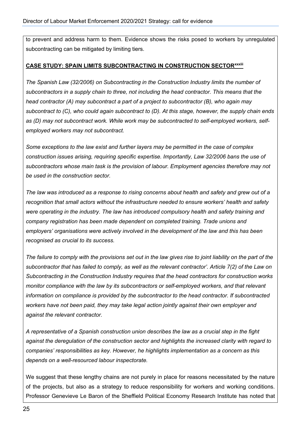to prevent and address harm to them. Evidence shows the risks posed to workers by unregulated subcontracting can be mitigated by limiting tiers.

#### **CASE STUDY: SPAIN LIMITS SUBCONTRACTING IN CONSTRUCTION SECTORxxxiii**

*The Spanish Law (32/2006) on Subcontracting in the Construction Industry limits the number of subcontractors in a supply chain to three, not including the head contractor. This means that the head contractor (A) may subcontract a part of a project to subcontractor (B), who again may subcontract to (C), who could again subcontract to (D). At this stage, however, the supply chain ends as (D) may not subcontract work. While work may be subcontracted to self-employed workers, selfemployed workers may not subcontract.*

*Some exceptions to the law exist and further layers may be permitted in the case of complex construction issues arising, requiring specific expertise. Importantly, Law 32/2006 bans the use of subcontractors whose main task is the provision of labour. Employment agencies therefore may not be used in the construction sector.* 

*The law was introduced as a response to rising concerns about health and safety and grew out of a recognition that small actors without the infrastructure needed to ensure workers' health and safety were operating in the industry. The law has introduced compulsory health and safety training and company registration has been made dependent on completed training. Trade unions and employers' organisations were actively involved in the development of the law and this has been recognised as crucial to its success.*

*The failure to comply with the provisions set out in the law gives rise to joint liability on the part of the subcontractor that has failed to comply, as well as the relevant contractor'. Article 7(2) of the Law on Subcontracting in the Construction Industry requires that the head contractors for construction works monitor compliance with the law by its subcontractors or self-employed workers, and that relevant information on compliance is provided by the subcontractor to the head contractor. If subcontracted workers have not been paid, they may take legal action jointly against their own employer and against the relevant contractor.*

*A representative of a Spanish construction union describes the law as a crucial step in the fight against the deregulation of the construction sector and highlights the increased clarity with regard to companies' responsibilities as key. However, he highlights implementation as a concern as this depends on a well-resourced labour inspectorate.*

We suggest that these lengthy chains are not purely in place for reasons necessitated by the nature of the projects, but also as a strategy to reduce responsibility for workers and working conditions. Professor Genevieve Le Baron of the Sheffield Political Economy Research Institute has noted that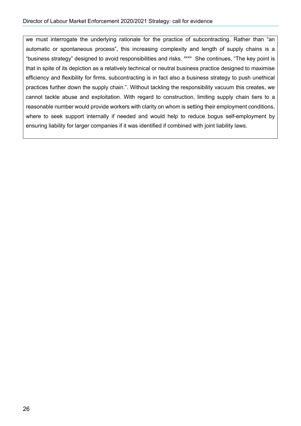we must interrogate the underlying rationale for the practice of subcontracting. Rather than "an automatic or spontaneous process", this increasing complexity and length of supply chains is a "business strategy" designed to avoid responsibilities and risks. XXXIV She continues, "The key point is that in spite of its depiction as a relatively technical or neutral business practice designed to maximise efficiency and flexibility for firms, subcontracting is in fact also a business strategy to push unethical practices further down the supply chain.". Without tackling the responsibility vacuum this creates, we cannot tackle abuse and exploitation. With regard to construction, limiting supply chain tiers to a reasonable number would provide workers with clarity on whom is setting their employment conditions, where to seek support internally if needed and would help to reduce bogus self-employment by ensuring liability for larger companies if it was identified if combined with joint liability laws.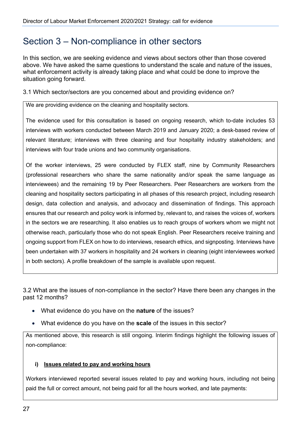### Section 3 – Non-compliance in other sectors

In this section, we are seeking evidence and views about sectors other than those covered above. We have asked the same questions to understand the scale and nature of the issues, what enforcement activity is already taking place and what could be done to improve the situation going forward.

3.1 Which sector/sectors are you concerned about and providing evidence on?

We are providing evidence on the cleaning and hospitality sectors.

The evidence used for this consultation is based on ongoing research, which to-date includes 53 interviews with workers conducted between March 2019 and January 2020; a desk-based review of relevant literature; interviews with three cleaning and four hospitality industry stakeholders; and interviews with four trade unions and two community organisations.

Of the worker interviews, 25 were conducted by FLEX staff, nine by Community Researchers (professional researchers who share the same nationality and/or speak the same language as interviewees) and the remaining 19 by Peer Researchers. Peer Researchers are workers from the cleaning and hospitality sectors participating in all phases of this research project, including research design, data collection and analysis, and advocacy and dissemination of findings. This approach ensures that our research and policy work is informed by, relevant to, and raises the voices of, workers in the sectors we are researching. It also enables us to reach groups of workers whom we might not otherwise reach, particularly those who do not speak English. Peer Researchers receive training and ongoing support from FLEX on how to do interviews, research ethics, and signposting. Interviews have been undertaken with 37 workers in hospitality and 24 workers in cleaning (eight interviewees worked in both sectors). A profile breakdown of the sample is available upon request.

3.2 What are the issues of non-compliance in the sector? Have there been any changes in the past 12 months?

- What evidence do you have on the **nature** of the issues?
- What evidence do you have on the **scale** of the issues in this sector?

As mentioned above, this research is still ongoing. Interim findings highlight the following issues of non-compliance:

#### **i) Issues related to pay and working hours**

Workers interviewed reported several issues related to pay and working hours, including not being paid the full or correct amount, not being paid for all the hours worked, and late payments: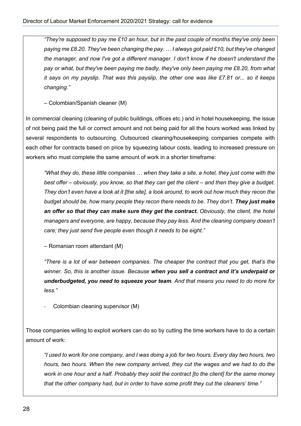*"They're supposed to pay me £10 an hour, but in the past couple of months they've only been paying me £8.20. They've been changing the pay. … I always got paid £10, but they've changed the manager, and now I've got a different manager. I don't know if he doesn't understand the pay or what, but they've been paying me badly, they've only been paying me £8.20, from what it says on my payslip. That was this payslip, the other one was like £7.81 or... so it keeps changing."* 

– Colombian/Spanish cleaner (M)

In commercial cleaning (cleaning of public buildings, offices etc.) and in hotel housekeeping, the issue of not being paid the full or correct amount and not being paid for all the hours worked was linked by several respondents to outsourcing. Outsourced cleaning/housekeeping companies compete with each other for contracts based on price by squeezing labour costs, leading to increased pressure on workers who must complete the same amount of work in a shorter timeframe:

*"What they do, these little companies … when they take a site, a hotel, they just come with the best offer – obviously, you know, so that they can get the client – and then they give a budget. They don't even have a look at it [the site], a look around, to work out how much they recon the budget should be, how many people they recon there needs to be. They don't. They just make an offer so that they can make sure they get the contract. Obviously, the client, the hotel managers and everyone, are happy, because they pay less. And the cleaning company doesn't care; they just send five people even though it needs to be eight."*

– Romanian room attendant (M)

*"There is a lot of war between companies. The cheaper the contract that you get, that's the winner. So, this is another issue. Because when you sell a contract and it's underpaid or underbudgeted, you need to squeeze your team. And that means you need to do more for less."*

Colombian cleaning supervisor (M)

Those companies willing to exploit workers can do so by cutting the time workers have to do a certain amount of work:

*"I used to work for one company, and I was doing a job for two hours. Every day two hours, two hours, two hours. When the new company arrived, they cut the wages and we had to do the work in one hour and a half. Probably they sold the contract [to the client] for the same money that the other company had, but in order to have some profit they cut the cleaners' time."*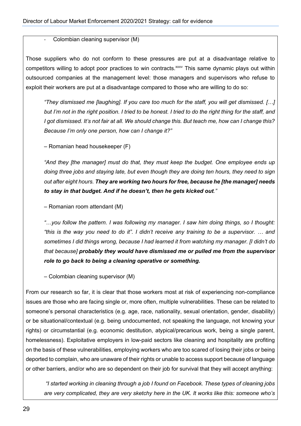Colombian cleaning supervisor (M)

Those suppliers who do not conform to these pressures are put at a disadvantage relative to competitors willing to adopt poor practices to win contracts.<sup>xxxv</sup> This same dynamic plays out within outsourced companies at the management level: those managers and supervisors who refuse to exploit their workers are put at a disadvantage compared to those who are willing to do so:

*"They dismissed me [laughing]. If you care too much for the staff, you will get dismissed. […] but I'm not in the right position. I tried to be honest. I tried to do the right thing for the staff, and I got dismissed. It's not fair at all. We should change this. But teach me, how can I change this? Because I'm only one person, how can I change it?"*

– Romanian head housekeeper (F)

*"And they [the manager] must do that, they must keep the budget. One employee ends up doing three jobs and staying late, but even though they are doing ten hours, they need to sign out after eight hours. They are working two hours for free, because he [the manager] needs to stay in that budget. And if he doesn't, then he gets kicked out."* 

– Romanian room attendant (M)

*"…you follow the pattern. I was following my manager. I saw him doing things, so I thought: "this is the way you need to do it". I didn't receive any training to be a supervisor. … and sometimes I did things wrong, because I had learned it from watching my manager. [I didn't do that because] probably they would have dismissed me or pulled me from the supervisor role to go back to being a cleaning operative or something.* 

– Colombian cleaning supervisor (M)

From our research so far, it is clear that those workers most at risk of experiencing non-compliance issues are those who are facing single or, more often, multiple vulnerabilities. These can be related to someone's personal characteristics (e.g. age, race, nationality, sexual orientation, gender, disability) or be situational/contextual (e.g. being undocumented, not speaking the language, not knowing your rights) or circumstantial (e.g. economic destitution, atypical/precarious work, being a single parent, homelessness). Exploitative employers in low-paid sectors like cleaning and hospitality are profiting on the basis of these vulnerabilities, employing workers who are too scared of losing their jobs or being deported to complain, who are unaware of their rights or unable to access support because of language or other barriers, and/or who are so dependent on their job for survival that they will accept anything:

*"I started working in cleaning through a job I found on Facebook. These types of cleaning jobs are very complicated, they are very sketchy here in the UK. It works like this: someone who's*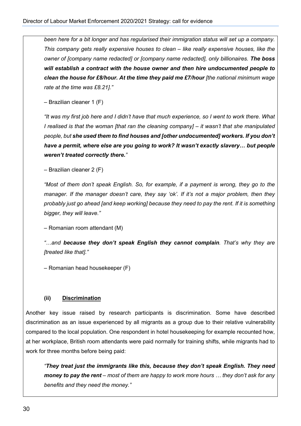*been here for a bit longer and has regularised their immigration status will set up a company. This company gets really expensive houses to clean – like really expensive houses, like the owner of [company name redacted] or [company name redacted], only billionaires. The boss will establish a contract with the house owner and then hire undocumented people to clean the house for £8/hour. At the time they paid me £7/hour [the national minimum wage rate at the time was £8.21]."*

– Brazilian cleaner 1 (F)

*"It was my first job here and I didn't have that much experience, so I went to work there. What I realised is that the woman [that ran the cleaning company] – it wasn't that she manipulated people, but she used them to find houses and [other undocumented] workers. If you don't have a permit, where else are you going to work? It wasn't exactly slavery… but people weren't treated correctly there."* 

– Brazilian cleaner 2 (F)

*"Most of them don't speak English. So, for example, if a payment is wrong, they go to the manager. If the manager doesn't care, they say 'ok'. If it's not a major problem, then they probably just go ahead [and keep working] because they need to pay the rent. If it is something bigger, they will leave."* 

– Romanian room attendant (M)

*"…and because they don't speak English they cannot complain. That's why they are [treated like that]."* 

– Romanian head housekeeper (F)

#### **(ii) Discrimination**

Another key issue raised by research participants is discrimination. Some have described discrimination as an issue experienced by all migrants as a group due to their relative vulnerability compared to the local population. One respondent in hotel housekeeping for example recounted how, at her workplace, British room attendants were paid normally for training shifts, while migrants had to work for three months before being paid:

*"They treat just the immigrants like this, because they don't speak English. They need money to pay the rent – most of them are happy to work more hours … they don't ask for any benefits and they need the money."*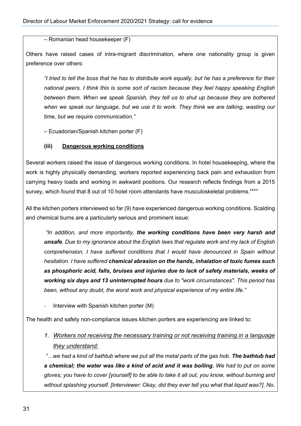– Romanian head housekeeper (F)

Others have raised cases of intra-migrant discrimination, where one nationality group is given preference over others:

*"I tried to tell the boss that he has to distribute work equally, but he has a preference for their national peers. I think this is some sort of racism because they feel happy speaking English between them. When we speak Spanish, they tell us to shut up because they are bothered when we speak our language, but we use it to work. They think we are talking, wasting our time, but we require communication."* 

– Ecuadorian/Spanish kitchen porter (F)

#### **(iii) Dangerous working conditions**

Several workers raised the issue of dangerous working conditions. In hotel housekeeping, where the work is highly physically demanding, workers reported experiencing back pain and exhaustion from carrying heavy loads and working in awkward positions. Our research reflects findings from a 2015 survey, which found that 8 out of 10 hotel room attendants have musculoskeletal problems.<sup>xxxvi</sup>

All the kitchen porters interviewed so far (9) have experienced dangerous working conditions. Scalding and chemical burns are a particularly serious and prominent issue:

*"In addition, and more importantly, the working conditions have been very harsh and unsafe. Due to my ignorance about the English laws that regulate work and my lack of English comprehension, I have suffered conditions that I would have denounced in Spain without hesitation. I have suffered chemical abrasion on the hands, inhalation of toxic fumes such as phosphoric acid, falls, bruises and injuries due to lack of safety materials, weeks of working six days and 13 uninterrupted hours due to "work circumstances". This period has been, without any doubt, the worst work and physical experience of my entire life."* 

Interview with Spanish kitchen porter (M)

The health and safety non-compliance issues kitchen porters are experiencing are linked to:

*1. Workers not receiving the necessary training or not receiving training in a language they understand:*

*"…we had a kind of bathtub where we put all the metal parts of the gas hob. The bathtub had a chemical; the water was like a kind of acid and it was boiling. We had to put on some gloves; you have to cover [yourself] to be able to take it all out, you know, without burning and without splashing yourself. [Interviewer: Okay, did they ever tell you what that liquid was?]. No.*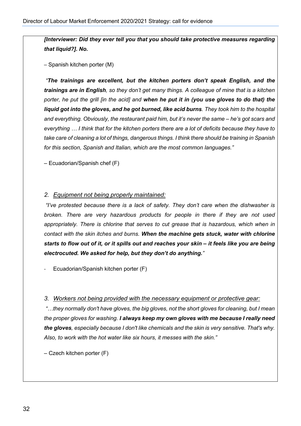*[Interviewer: Did they ever tell you that you should take protective measures regarding that liquid?]. No.* 

– Spanish kitchen porter (M)

*"The trainings are excellent, but the kitchen porters don't speak English, and the trainings are in English, so they don't get many things. A colleague of mine that is a kitchen porter, he put the grill [in the acid] and when he put it in (you use gloves to do that) the liquid got into the gloves, and he got burned, like acid burns. They took him to the hospital and everything. Obviously, the restaurant paid him, but it's never the same – he's got scars and everything … I think that for the kitchen porters there are a lot of deficits because they have to take care of cleaning a lot of things, dangerous things. I think there should be training in Spanish for this section, Spanish and Italian, which are the most common languages."* 

– Ecuadorian/Spanish chef (F)

#### *2. Equipment not being properly maintained:*

*"I've protested because there is a lack of safety. They don't care when the dishwasher is broken. There are very hazardous products for people in there if they are not used appropriately. There is chlorine that serves to cut grease that is hazardous, which when in contact with the skin itches and burns. When the machine gets stuck, water with chlorine starts to flow out of it, or it spills out and reaches your skin – it feels like you are being electrocuted. We asked for help, but they don't do anything."*

Ecuadorian/Spanish kitchen porter (F)

#### *3. Workers not being provided with the necessary equipment or protective gear:*

*"…they normally don't have gloves, the big gloves, not the short gloves for cleaning, but I mean the proper gloves for washing. I always keep my own gloves with me because I really need the gloves, especially because I don't like chemicals and the skin is very sensitive. That's why. Also, to work with the hot water like six hours, it messes with the skin."* 

*–* Czech kitchen porter (F)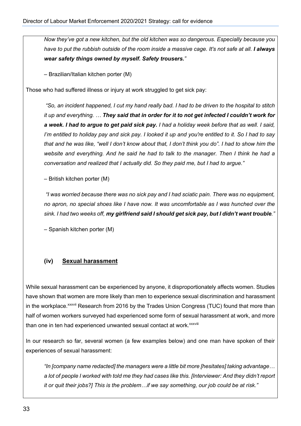*Now they've got a new kitchen, but the old kitchen was so dangerous. Especially because you have to put the rubbish outside of the room inside a massive cage. It's not safe at all. I always wear safety things owned by myself. Safety trousers."* 

*–* Brazilian/Italian kitchen porter (M)

Those who had suffered illness or injury at work struggled to get sick pay:

*"So, an incident happened, I cut my hand really bad. I had to be driven to the hospital to stitch it up and everything. … They said that in order for it to not get infected I couldn't work for a week. I had to argue to get paid sick pay. I had a holiday week before that as well. I said, I'm entitled to holiday pay and sick pay. I looked it up and you're entitled to it. So I had to say that and he was like, "well I don't know about that, I don't think you do". I had to show him the website and everything. And he said he had to talk to the manager. Then I think he had a conversation and realized that I actually did. So they paid me, but I had to argue."* 

*–* British kitchen porter (M)

*"I was worried because there was no sick pay and I had sciatic pain. There was no equipment, no apron, no special shoes like I have now. It was uncomfortable as I was hunched over the sink. I had two weeks off, my girlfriend said I should get sick pay, but I didn't want trouble."* 

*–* Spanish kitchen porter (M)

#### **(iv) Sexual harassment**

While sexual harassment can be experienced by anyone, it disproportionately affects women. Studies have shown that women are more likely than men to experience sexual discrimination and harassment in the workplace.<sup>xxxvii</sup> Research from 2016 by the Trades Union Congress (TUC) found that more than half of women workers surveyed had experienced some form of sexual harassment at work, and more than one in ten had experienced unwanted sexual contact at work. xxxviii

In our research so far, several women (a few examples below) and one man have spoken of their experiences of sexual harassment:

*"In [company name redacted] the managers were a little bit more [hesitates] taking advantage… a lot of people I worked with told me they had cases like this. [Interviewer: And they didn't report it or quit their jobs?] This is the problem…if we say something, our job could be at risk."*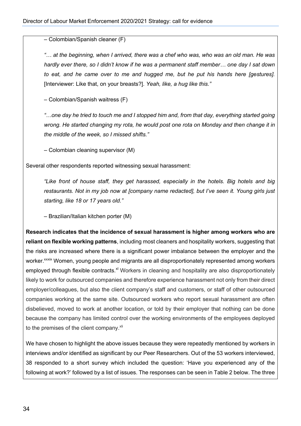– Colombian/Spanish cleaner (F)

*"… at the beginning, when I arrived, there was a chef who was, who was an old man. He was hardly ever there, so I didn't know if he was a permanent staff member… one day I sat down to eat, and he came over to me and hugged me, but he put his hands here [gestures].*  [Interviewer: Like that, on your breasts?]. *Yeah, like, a hug like this."* 

– Colombian/Spanish waitress (F)

*"…one day he tried to touch me and I stopped him and, from that day, everything started going wrong. He started changing my rota, he would post one rota on Monday and then change it in the middle of the week, so I missed shifts."* 

– Colombian cleaning supervisor (M)

Several other respondents reported witnessing sexual harassment:

*"Like front of house staff, they get harassed, especially in the hotels. Big hotels and big restaurants. Not in my job now at [company name redacted], but I've seen it. Young girls just starting, like 18 or 17 years old."* 

– Brazilian/Italian kitchen porter (M)

**Research indicates that the incidence of sexual harassment is higher among workers who are reliant on flexible working patterns**, including most cleaners and hospitality workers, suggesting that the risks are increased where there is a significant power imbalance between the employer and the worker.<sup>xxxix</sup> Women, young people and migrants are all disproportionately represented among workers employed through flexible contracts.<sup>xl</sup> Workers in cleaning and hospitality are also disproportionately likely to work for outsourced companies and therefore experience harassment not only from their direct employer/colleagues, but also the client company's staff and customers, or staff of other outsourced companies working at the same site. Outsourced workers who report sexual harassment are often disbelieved, moved to work at another location, or told by their employer that nothing can be done because the company has limited control over the working environments of the employees deployed to the premises of the client company.<sup>xli</sup>

We have chosen to highlight the above issues because they were repeatedly mentioned by workers in interviews and/or identified as significant by our Peer Researchers. Out of the 53 workers interviewed, 38 responded to a short survey which included the question: 'Have you experienced any of the following at work?' followed by a list of issues. The responses can be seen in Table 2 below. The three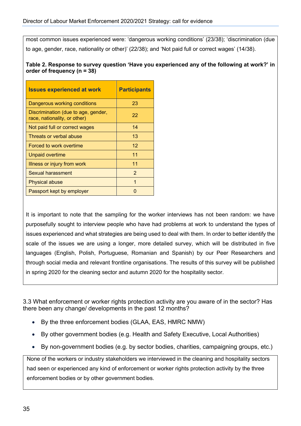most common issues experienced were: 'dangerous working conditions' (23/38); 'discrimination (due to age, gender, race, nationality or other)' (22/38); and 'Not paid full or correct wages' (14/38).

**Table 2. Response to survey question 'Have you experienced any of the following at work?' in order of frequency (n = 38)**

| <b>Issues experienced at work</b>                                   | <b>Participants</b> |
|---------------------------------------------------------------------|---------------------|
| Dangerous working conditions                                        | 23                  |
| Discrimination (due to age, gender,<br>race, nationality, or other) | 22                  |
| Not paid full or correct wages                                      | 14                  |
| Threats or verbal abuse                                             | 13                  |
| Forced to work overtime                                             | $12 \overline{ }$   |
| <b>Unpaid overtime</b>                                              | 11                  |
| Illness or injury from work                                         | 11                  |
| Sexual harassment                                                   | $\overline{2}$      |
| <b>Physical abuse</b>                                               | 1                   |
| Passport kept by employer                                           |                     |

It is important to note that the sampling for the worker interviews has not been random: we have purposefully sought to interview people who have had problems at work to understand the types of issues experienced and what strategies are being used to deal with them. In order to better identify the scale of the issues we are using a longer, more detailed survey, which will be distributed in five languages (English, Polish, Portuguese, Romanian and Spanish) by our Peer Researchers and through social media and relevant frontline organisations. The results of this survey will be published in spring 2020 for the cleaning sector and autumn 2020 for the hospitality sector.

3.3 What enforcement or worker rights protection activity are you aware of in the sector? Has there been any change/ developments in the past 12 months?

- By the three enforcement bodies (GLAA, EAS, HMRC NMW)
- By other government bodies (e.g. Health and Safety Executive, Local Authorities)
- By non-government bodies (e.g. by sector bodies, charities, campaigning groups, etc.)

None of the workers or industry stakeholders we interviewed in the cleaning and hospitality sectors had seen or experienced any kind of enforcement or worker rights protection activity by the three enforcement bodies or by other government bodies.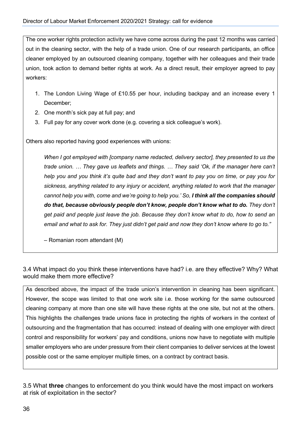The one worker rights protection activity we have come across during the past 12 months was carried out in the cleaning sector, with the help of a trade union. One of our research participants, an office cleaner employed by an outsourced cleaning company, together with her colleagues and their trade union, took action to demand better rights at work. As a direct result, their employer agreed to pay workers:

- 1. The London Living Wage of £10.55 per hour, including backpay and an increase every 1 December;
- 2. One month's sick pay at full pay; and
- 3. Full pay for any cover work done (e.g. covering a sick colleague's work).

Others also reported having good experiences with unions:

*When I got employed with [company name redacted, delivery sector], they presented to us the trade union. … They gave us leaflets and things. … They said 'Ok, if the manager here can't help you and you think it's quite bad and they don't want to pay you on time, or pay you for sickness, anything related to any injury or accident, anything related to work that the manager*  cannot help you with, come and we're going to help you.' So, I think all the companies should *do that, because obviously people don't know, people don't know what to do. They don't get paid and people just leave the job. Because they don't know what to do, how to send an email and what to ask for. They just didn't get paid and now they don't know where to go to."*

– Romanian room attendant (M)

3.4 What impact do you think these interventions have had? i.e. are they effective? Why? What would make them more effective?

As described above, the impact of the trade union's intervention in cleaning has been significant. However, the scope was limited to that one work site i.e. those working for the same outsourced cleaning company at more than one site will have these rights at the one site, but not at the others. This highlights the challenges trade unions face in protecting the rights of workers in the context of outsourcing and the fragmentation that has occurred: instead of dealing with one employer with direct control and responsibility for workers' pay and conditions, unions now have to negotiate with multiple smaller employers who are under pressure from their client companies to deliver services at the lowest possible cost or the same employer multiple times, on a contract by contract basis.

3.5 What **three** changes to enforcement do you think would have the most impact on workers at risk of exploitation in the sector?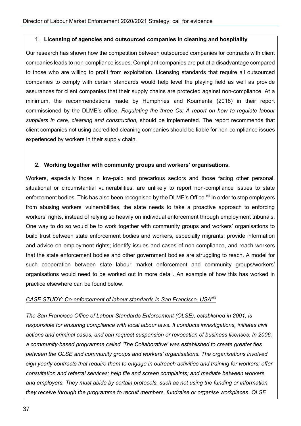#### 1. **Licensing of agencies and outsourced companies in cleaning and hospitality**

Our research has shown how the competition between outsourced companies for contracts with client companies leads to non-compliance issues. Compliant companies are put at a disadvantage compared to those who are willing to profit from exploitation. Licensing standards that require all outsourced companies to comply with certain standards would help level the playing field as well as provide assurances for client companies that their supply chains are protected against non-compliance. At a minimum, the recommendations made by Humphries and Koumenta (2018) in their report commissioned by the DLME's office, *Regulating the three Cs: A report on how to regulate labour suppliers in care, cleaning and construction,* should be implemented. The report recommends that client companies not using accredited cleaning companies should be liable for non-compliance issues experienced by workers in their supply chain.

#### **2. Working together with community groups and workers' organisations.**

Workers, especially those in low-paid and precarious sectors and those facing other personal, situational or circumstantial vulnerabilities, are unlikely to report non-compliance issues to state enforcement bodies. This has also been recognised by the DLME's Office.<sup>xlii</sup> In order to stop employers from abusing workers' vulnerabilities, the state needs to take a proactive approach to enforcing workers' rights, instead of relying so heavily on individual enforcement through employment tribunals. One way to do so would be to work together with community groups and workers' organisations to build trust between state enforcement bodies and workers, especially migrants; provide information and advice on employment rights; identify issues and cases of non-compliance, and reach workers that the state enforcement bodies and other government bodies are struggling to reach. A model for such cooperation between state labour market enforcement and community groups/workers' organisations would need to be worked out in more detail. An example of how this has worked in practice elsewhere can be found below.

#### *CASE STUDY: Co-enforcement of labour standards in San Francisco, USAxliii*

*The San Francisco Office of Labour Standards Enforcement (OLSE), established in 2001, is responsible for ensuring compliance with local labour laws. It conducts investigations, initiates civil actions and criminal cases, and can request suspension or revocation of business licenses. In 2006, a community-based programme called 'The Collaborative' was established to create greater ties between the OLSE and community groups and workers' organisations. The organisations involved sign yearly contracts that require them to engage in outreach activities and training for workers; offer consultation and referral services; help file and screen complaints; and mediate between workers and employers. They must abide by certain protocols, such as not using the funding or information they receive through the programme to recruit members, fundraise or organise workplaces. OLSE*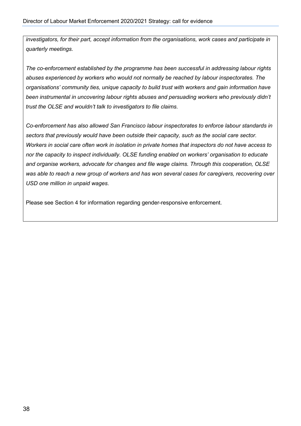*investigators, for their part, accept information from the organisations, work cases and participate in quarterly meetings.*

*The co-enforcement established by the programme has been successful in addressing labour rights abuses experienced by workers who would not normally be reached by labour inspectorates. The organisations' community ties, unique capacity to build trust with workers and gain information have been instrumental in uncovering labour rights abuses and persuading workers who previously didn't trust the OLSE and wouldn't talk to investigators to file claims.*

*Co-enforcement has also allowed San Francisco labour inspectorates to enforce labour standards in sectors that previously would have been outside their capacity, such as the social care sector. Workers in social care often work in isolation in private homes that inspectors do not have access to nor the capacity to inspect individually. OLSE funding enabled on workers' organisation to educate and organise workers, advocate for changes and file wage claims. Through this cooperation, OLSE was able to reach a new group of workers and has won several cases for caregivers, recovering over USD one million in unpaid wages.* 

Please see Section 4 for information regarding gender-responsive enforcement.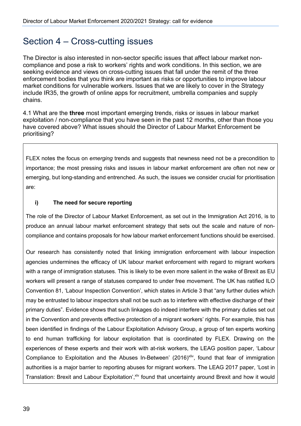### Section 4 – Cross-cutting issues

The Director is also interested in non-sector specific issues that affect labour market noncompliance and pose a risk to workers' rights and work conditions. In this section, we are seeking evidence and views on cross-cutting issues that fall under the remit of the three enforcement bodies that you think are important as risks or opportunities to improve labour market conditions for vulnerable workers. Issues that we are likely to cover in the Strategy include IR35, the growth of online apps for recruitment, umbrella companies and supply chains.

4.1 What are the **three** most important emerging trends, risks or issues in labour market exploitation / non-compliance that you have seen in the past 12 months, other than those you have covered above? What issues should the Director of Labour Market Enforcement be prioritising?

FLEX notes the focus on *emerging* trends and suggests that newness need not be a precondition to importance; the most pressing risks and issues in labour market enforcement are often not new or emerging, but long-standing and entrenched. As such, the issues we consider crucial for prioritisation are:

#### **i) The need for secure reporting**

The role of the Director of Labour Market Enforcement, as set out in the Immigration Act 2016, is to produce an annual labour market enforcement strategy that sets out the scale and nature of noncompliance and contains proposals for how labour market enforcement functions should be exercised.

Our research has consistently noted that linking immigration enforcement with labour inspection agencies undermines the efficacy of UK labour market enforcement with regard to migrant workers with a range of immigration statuses. This is likely to be even more salient in the wake of Brexit as EU workers will present a range of statuses compared to under free movement. The UK has ratified ILO Convention 81, 'Labour Inspection Convention', which states in Article 3 that "any further duties which may be entrusted to labour inspectors shall not be such as to interfere with effective discharge of their primary duties". Evidence shows that such linkages do indeed interfere with the primary duties set out in the Convention and prevents effective protection of a migrant workers' rights. For example, this has been identified in findings of the Labour Exploitation Advisory Group, a group of ten experts working to end human trafficking for labour exploitation that is coordinated by FLEX. Drawing on the experiences of these experts and their work with at-risk workers, the LEAG position paper, 'Labour Compliance to Exploitation and the Abuses In-Between' (2016)<sup>xliv</sup>, found that fear of immigration authorities is a major barrier to reporting abuses for migrant workers. The LEAG 2017 paper, 'Lost in Translation: Brexit and Labour Exploitation', xlv found that uncertainty around Brexit and how it would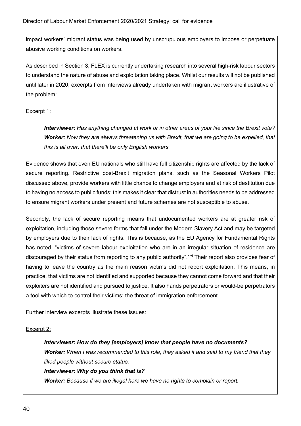impact workers' migrant status was being used by unscrupulous employers to impose or perpetuate abusive working conditions on workers.

As described in Section 3, FLEX is currently undertaking research into several high-risk labour sectors to understand the nature of abuse and exploitation taking place. Whilst our results will not be published until later in 2020, excerpts from interviews already undertaken with migrant workers are illustrative of the problem:

#### Excerpt 1:

*Interviewer: Has anything changed at work or in other areas of your life since the Brexit vote? Worker: Now they are always threatening us with Brexit, that we are going to be expelled, that this is all over, that there'll be only English workers.* 

Evidence shows that even EU nationals who still have full citizenship rights are affected by the lack of secure reporting. Restrictive post-Brexit migration plans, such as the Seasonal Workers Pilot discussed above, provide workers with little chance to change employers and at risk of destitution due to having no access to public funds; this makes it clear that distrust in authorities needs to be addressed to ensure migrant workers under present and future schemes are not susceptible to abuse.

Secondly, the lack of secure reporting means that undocumented workers are at greater risk of exploitation, including those severe forms that fall under the Modern Slavery Act and may be targeted by employers due to their lack of rights. This is because, as the EU Agency for Fundamental Rights has noted, "victims of severe labour exploitation who are in an irregular situation of residence are discouraged by their status from reporting to any public authority". Xivi Their report also provides fear of having to leave the country as the main reason victims did not report exploitation. This means, in practice, that victims are not identified and supported because they cannot come forward and that their exploiters are not identified and pursued to justice. It also hands perpetrators or would-be perpetrators a tool with which to control their victims: the threat of immigration enforcement.

Further interview excerpts illustrate these issues:

#### Excerpt 2:

*Interviewer: How do they [employers] know that people have no documents? Worker: When I was recommended to this role, they asked it and said to my friend that they liked people without secure status.*

#### *Interviewer: Why do you think that is?*

*Worker: Because if we are illegal here we have no rights to complain or report.*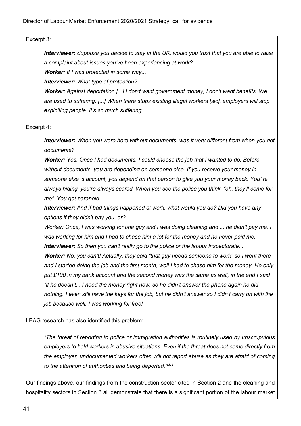#### Excerpt 3:

*Interviewer: Suppose you decide to stay in the UK, would you trust that you are able to raise a complaint about issues you've been experiencing at work?*

*Worker: If I was protected in some way...*

*Interviewer: What type of protection?*

*Worker: Against deportation [...] I don't want government money, I don't want benefits. We are used to suffering. [...] When there stops existing illegal workers [sic], employers will stop exploiting people. It's so much suffering...* 

#### Excerpt 4:

*Interviewer: When you were here without documents, was it very different from when you got documents?*

*Worker: Yes. Once I had documents, I could choose the job that I wanted to do. Before, without documents, you are depending on someone else. If you receive your money in someone else' s account, you depend on that person to give you your money back. You' re always hiding, you're always scared. When you see the police you think, "oh, they'll come for me". You get paranoid.* 

*Interviewer: And if bad things happened at work, what would you do? Did you have any options if they didn't pay you, or?*

*Worker: Once, I was working for one guy and I was doing cleaning and ... he didn't pay me. I was working for him and I had to chase him a lot for the money and he never paid me. Interviewer: So then you can't really go to the police or the labour inspectorate...* 

*Worker: No, you can't! Actually, they said "that guy needs someone to work" so I went there and I started doing the job and the first month, well I had to chase him for the money. He only put £100 in my bank account and the second money was the same as well, in the end I said "if he doesn't... I need the money right now, so he didn't answer the phone again he did nothing. I even still have the keys for the job, but he didn't answer so I didn't carry on with the job because well, I was working for free!* 

LEAG research has also identified this problem:

*"The threat of reporting to police or immigration authorities is routinely used by unscrupulous employers to hold workers in abusive situations. Even if the threat does not come directly from the employer, undocumented workers often will not report abuse as they are afraid of coming to the attention of authorities and being deported."xlvii*

Our findings above, our findings from the construction sector cited in Section 2 and the cleaning and hospitality sectors in Section 3 all demonstrate that there is a significant portion of the labour market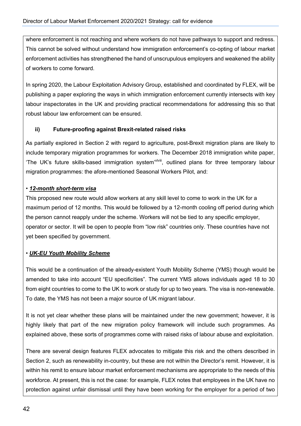where enforcement is not reaching and where workers do not have pathways to support and redress. This cannot be solved without understand how immigration enforcement's co-opting of labour market enforcement activities has strengthened the hand of unscrupulous employers and weakened the ability of workers to come forward.

In spring 2020, the Labour Exploitation Advisory Group, established and coordinated by FLEX, will be publishing a paper exploring the ways in which immigration enforcement currently intersects with key labour inspectorates in the UK and providing practical recommendations for addressing this so that robust labour law enforcement can be ensured.

#### **ii) Future-proofing against Brexit-related raised risks**

As partially explored in Section 2 with regard to agriculture, post-Brexit migration plans are likely to include temporary migration programmes for workers. The December 2018 immigration white paper, 'The UK's future skills-based immigration system<sup>'xlviii</sup>, outlined plans for three temporary labour migration programmes: the afore-mentioned Seasonal Workers Pilot, and:

#### • *12-month short-term visa*

This proposed new route would allow workers at any skill level to come to work in the UK for a maximum period of 12 months. This would be followed by a 12-month cooling off period during which the person cannot reapply under the scheme. Workers will not be tied to any specific employer, operator or sector. It will be open to people from "low risk" countries only. These countries have not yet been specified by government.

#### • *UK-EU Youth Mobility Scheme*

This would be a continuation of the already-existent Youth Mobility Scheme (YMS) though would be amended to take into account "EU specificities". The current YMS allows individuals aged 18 to 30 from eight countries to come to the UK to work or study for up to two years. The visa is non-renewable. To date, the YMS has not been a major source of UK migrant labour.

It is not yet clear whether these plans will be maintained under the new government; however, it is highly likely that part of the new migration policy framework will include such programmes. As explained above, these sorts of programmes come with raised risks of labour abuse and exploitation.

There are several design features FLEX advocates to mitigate this risk and the others described in Section 2, such as renewability in-country, but these are not within the Director's remit. However, it is within his remit to ensure labour market enforcement mechanisms are appropriate to the needs of this workforce. At present, this is not the case: for example, FLEX notes that employees in the UK have no protection against unfair dismissal until they have been working for the employer for a period of two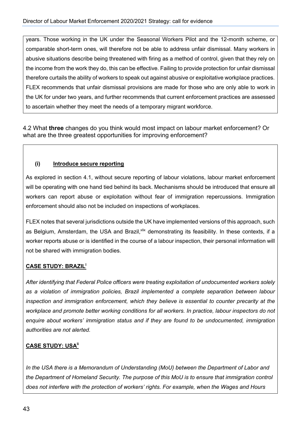years. Those working in the UK under the Seasonal Workers Pilot and the 12-month scheme, or comparable short-term ones, will therefore not be able to address unfair dismissal. Many workers in abusive situations describe being threatened with firing as a method of control, given that they rely on the income from the work they do, this can be effective. Failing to provide protection for unfair dismissal therefore curtails the ability of workers to speak out against abusive or exploitative workplace practices. FLEX recommends that unfair dismissal provisions are made for those who are only able to work in the UK for under two years, and further recommends that current enforcement practices are assessed to ascertain whether they meet the needs of a temporary migrant workforce.

4.2 What **three** changes do you think would most impact on labour market enforcement? Or what are the three greatest opportunities for improving enforcement?

#### **(i) Introduce secure reporting**

As explored in section 4.1, without secure reporting of labour violations, labour market enforcement will be operating with one hand tied behind its back. Mechanisms should be introduced that ensure all workers can report abuse or exploitation without fear of immigration repercussions. Immigration enforcement should also not be included on inspections of workplaces.

FLEX notes that several jurisdictions outside the UK have implemented versions of this approach, such as Belgium, Amsterdam, the USA and Brazil, <sup>xlix</sup> demonstrating its feasibility. In these contexts, if a worker reports abuse or is identified in the course of a labour inspection, their personal information will not be shared with immigration bodies.

#### **CASE STUDY: BRAZILl**

*After identifying that Federal Police officers were treating exploitation of undocumented workers solely as a violation of immigration policies, Brazil implemented a complete separation between labour inspection and immigration enforcement, which they believe is essential to counter precarity at the workplace and promote better working conditions for all workers. In practice, labour inspectors do not enquire about workers' immigration status and if they are found to be undocumented, immigration authorities are not alerted.*

#### **CASE STUDY: USA<sup>II</sup>**

*In the USA there is a Memorandum of Understanding (MoU) between the Department of Labor and the Department of Homeland Security. The purpose of this MoU is to ensure that immigration control does not interfere with the protection of workers' rights. For example, when the Wages and Hours*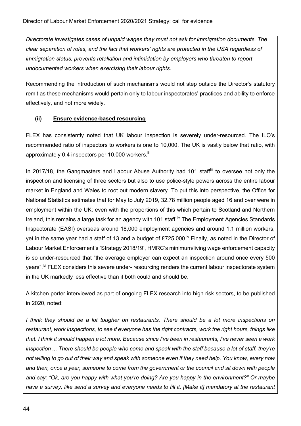*Directorate investigates cases of unpaid wages they must not ask for immigration documents. The clear separation of roles, and the fact that workers' rights are protected in the USA regardless of immigration status, prevents retaliation and intimidation by employers who threaten to report undocumented workers when exercising their labour rights.*

Recommending the introduction of such mechanisms would not step outside the Director's statutory remit as these mechanisms would pertain only to labour inspectorates' practices and ability to enforce effectively, and not more widely.

#### **(ii) Ensure evidence-based resourcing**

FLEX has consistently noted that UK labour inspection is severely under-resourced. The ILO's recommended ratio of inspectors to workers is one to 10,000. The UK is vastly below that ratio, with approximately 0.4 inspectors per 10,000 workers.<sup>iii</sup>

In 2017/18, the Gangmasters and Labour Abuse Authority had 101 staff<sup>iii</sup> to oversee not only the inspection and licensing of three sectors but also to use police-style powers across the entire labour market in England and Wales to root out modern slavery. To put this into perspective, the Office for National Statistics estimates that for May to July 2019, 32.78 million people aged 16 and over were in employment within the UK; even with the proportions of this which pertain to Scotland and Northern Ireland, this remains a large task for an agency with 101 staff. <sup>IN</sup> The Employment Agencies Standards Inspectorate (EASI) overseas around 18,000 employment agencies and around 1.1 million workers, yet in the same year had a staff of 13 and a budget of £725,000.<sup> $\nu$ </sup> Finally, as noted in the Director of Labour Market Enforcement's 'Strategy 2018/19', HMRC's minimum/living wage enforcement capacity is so under-resourced that "the average employer can expect an inspection around once every 500 years".<sup>[vi]</sup> FLEX considers this severe under- resourcing renders the current labour inspectorate system in the UK markedly less effective than it both could and should be.

A kitchen porter interviewed as part of ongoing FLEX research into high risk sectors, to be published in 2020, noted:

*I think they should be a lot tougher on restaurants. There should be a lot more inspections on restaurant, work inspections, to see if everyone has the right contracts, work the right hours, things like that. I think it should happen a lot more. Because since I've been in restaurants, I've never seen a work inspection ... There should be people who come and speak with the staff because a lot of staff, they're not willing to go out of their way and speak with someone even if they need help. You know, every now and then, once a year, someone to come from the government or the council and sit down with people and say: "Ok, are you happy with what you're doing? Are you happy in the environment?" Or maybe have a survey, like send a survey and everyone needs to fill it. [Make it] mandatory at the restaurant*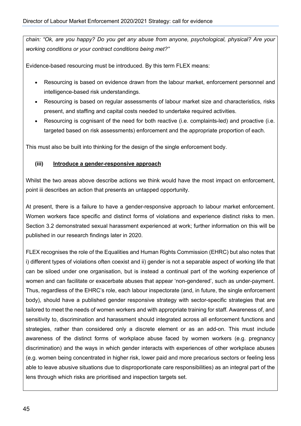*chain: "Ok, are you happy? Do you get any abuse from anyone, psychological, physical? Are your working conditions or your contract conditions being met?"*

Evidence-based resourcing must be introduced. By this term FLEX means:

- Resourcing is based on evidence drawn from the labour market, enforcement personnel and intelligence-based risk understandings.
- Resourcing is based on regular assessments of labour market size and characteristics, risks present, and staffing and capital costs needed to undertake required activities.
- Resourcing is cognisant of the need for both reactive (i.e. complaints-led) and proactive (i.e. targeted based on risk assessments) enforcement and the appropriate proportion of each.

This must also be built into thinking for the design of the single enforcement body.

#### **(iii) Introduce a gender-responsive approach**

Whilst the two areas above describe actions we think would have the most impact on enforcement, point iii describes an action that presents an untapped opportunity.

At present, there is a failure to have a gender-responsive approach to labour market enforcement. Women workers face specific and distinct forms of violations and experience distinct risks to men. Section 3.2 demonstrated sexual harassment experienced at work; further information on this will be published in our research findings later in 2020.

FLEX recognises the role of the Equalities and Human Rights Commission (EHRC) but also notes that i) different types of violations often coexist and ii) gender is not a separable aspect of working life that can be siloed under one organisation, but is instead a continual part of the working experience of women and can facilitate or exacerbate abuses that appear 'non-gendered', such as under-payment. Thus, regardless of the EHRC's role, each labour inspectorate (and, in future, the single enforcement body), should have a published gender responsive strategy with sector-specific strategies that are tailored to meet the needs of women workers and with appropriate training for staff. Awareness of, and sensitivity to, discrimination and harassment should integrated across all enforcement functions and strategies, rather than considered only a discrete element or as an add-on. This must include awareness of the distinct forms of workplace abuse faced by women workers (e.g. pregnancy discrimination) and the ways in which gender interacts with experiences of other workplace abuses (e.g. women being concentrated in higher risk, lower paid and more precarious sectors or feeling less able to leave abusive situations due to disproportionate care responsibilities) as an integral part of the lens through which risks are prioritised and inspection targets set.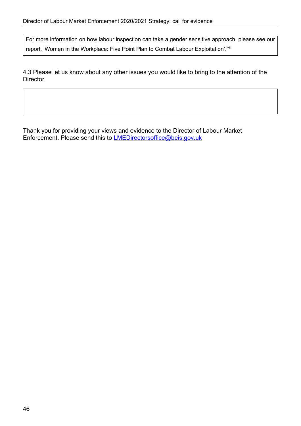For more information on how labour inspection can take a gender sensitive approach, please see our report, 'Women in the Workplace: Five Point Plan to Combat Labour Exploitation'.<sup>[wii</sup>

4.3 Please let us know about any other issues you would like to bring to the attention of the Director.

Thank you for providing your views and evidence to the Director of Labour Market Enforcement. Please send this to **LMEDirectorsoffice@beis.gov.uk**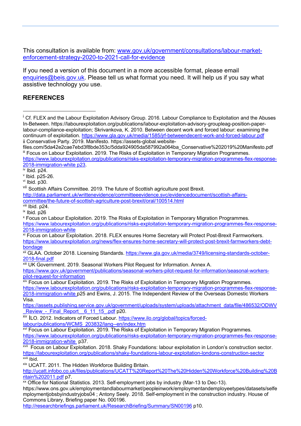This consultation is available from: www.gov.uk/government/consultations/labour-marketenforcement-strategy-2020-to-2021-call-for-evidence

If you need a version of this document in a more accessible format, please email enquiries@beis.gov.uk. Please tell us what format you need. It will help us if you say what assistive technology you use.

#### **REFERENCES**

Cf. FLEX and the Labour Exploitation Advisory Group. 2016. Labour Compliance to Exploitation and the Abuses In-Between. https://labourexploitation.org/publications/labour-exploitation-advisory-groupleag-position-paperlabour-compliance-exploitation; Skrivankova, K. 2010. Between decent work and forced labour: examining the continuum of exploitation. https://www.gla.gov.uk/media/1585/jrf-betweendecent-work-and-forced-labour.pdf ii Conservative Party. 2019. Manifesto. https://assets-global.websitefiles.com/5da42e2cae7ebd3f8bde353c/5dda924905da587992a064ba\_Conservative%202019%20Manifesto.pdf iii Focus on Labour Exploitation. 2019. The Risks of Exploitation in Temporary Migration Programmes. https://www.labourexploitation.org/publications/risks-exploitation-temporary-migration-programmes-flex-response-2018-immigration-white p23.  $iv$  Ibid. p24.  $v$  Ibid. p25-26.  $vi$  Ibid.  $p30$ . vii Scottish Affairs Committee. 2019. The future of Scottish agriculture post Brexit. http://data.parliament.uk/writtenevidence/committeeevidence.svc/evidencedocument/scottish-affairscommittee/the-future-of-scottish-agriculture-post-brexit/oral/100514.html viii Ibid. p24. ix Ibid. p26 <sup>x</sup> Focus on Labour Exploitation. 2019. The Risks of Exploitation in Temporary Migration Programmes. https://www.labourexploitation.org/publications/risks-exploitation-temporary-migration-programmes-flex-response-2018-immigration-white xi Focus on Labour Exploitation. 2018. FLEX ensures Home Secretary will Protect Post-Brexit Farmworkers. https://www.labourexploitation.org/news/flex-ensures-home-secretary-will-protect-post-brexit-farmworkers-debtbondage xii GLAA. October 2018. Licensing Standards. https://www.gla.gov.uk/media/3749/licensing-standards-october-2018-final.pdf **xiii UK Government. 2019. Seasonal Workers Pilot Request for Information. Annex A.** https://www.gov.uk/government/publications/seasonal-workers-pilot-request-for-information/seasonal-workerspilot-request-for-information **xiv Focus on Labour Exploitation. 2019. The Risks of Exploitation in Temporary Migration Programmes.** https://www.labourexploitation.org/publications/risks-exploitation-temporary-migration-programmes-flex-response-2018-immigration-white p25 and Ewins, J. 2015. The Independent Review of the Overseas Domestic Workers Visa. https://assets.publishing.service.gov.uk/government/uploads/system/uploads/attachment\_data/file/486532/ODWV Review - Final Report 6 11 15 .pdf p20. xv ILO. 2012. Indicators of Forced Labour. https://www.ilo.org/global/topics/forcedlabour/publications/WCMS\_203832/lang--en/index.htm xvi Focus on Labour Exploitation. 2019. The Risks of Exploitation in Temporary Migration Programmes. https://www.labourexploitation.org/publications/risks-exploitation-temporary-migration-programmes-flex-response-2018-immigration-white p37. xvii Focus on Labour Exploitation. 2018. Shaky Foundations: labour exploitation in London's construction sector. https://labourexploitation.org/publications/shaky-foundations-labour-exploitation-londons-construction-sector  $x$ <sup>viii</sup> Ibid. xix UCATT. 2011. The Hidden Workforce Building Britain. http://ucatt.infobo.co.uk/files/publications/UCATT%20Report%20The%20Hidden%20Workforce%20Building%20B ritain%202011.pdf p7.  $\overline{\text{xx}}$  Office for National Statistics. 2013. Self-employment jobs by industry (Mar-13 to Dec-13). https://www.ons.gov.uk/employmentandlabourmarket/peopleinwork/employmentandemployeetypes/datasets/selfe

mploymentjobsbyindustryjobs04 ; Antony Seely. 2018. Self-employment in the construction industry. House of Commons Library, Briefing paper No. 000196.

http://researchbriefings.parliament.uk/ResearchBriefing/Summary/SN00196 p10.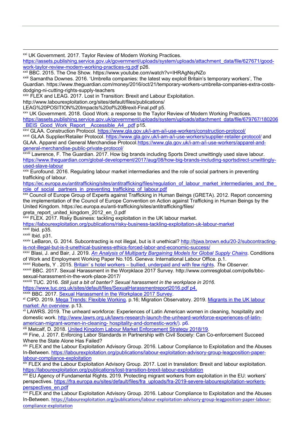xxi UK Government. 2017. Taylor Review of Modern Working Practices.

https://assets.publishing.service.gov.uk/government/uploads/system/uploads/attachment\_data/file/627671/goodwork-taylor-review-modern-working-practices-rg.pdf p26.

xxii BBC. 2015. The One Show. https://www.youtube.com/watch?v=IHRAgNsyNZo

xxiii Samantha Downes. 2016. 'Umbrella companies: the latest way exploit Britain's temporary workers', The Guardian. https://www.theguardian.com/money/2016/oct/21/temporary-workers-umbrella-companies-extra-costsdodging-ni-cutting-rights-supply-teachers

xxiv FLEX and LEAG. 2017. Lost in Transition: Brexit and Labour Exploitation.

http://www.labourexploitation.org/sites/default/files/publications/

LEAG%20POSITION%20Impacts%20of%20Brexit-Final.pdf p5.

xxv UK Government. 2018. Good Work: a response to the Taylor Review of Modern Working Practices. https://assets.publishing.service.gov.uk/government/uploads/system/uploads/attachment\_data/file/679767/180206 BEIS\_Good\_Work\_Report\_Accessible\_A4\_.pdf p15.

xxvi GLAA. Construction Protocol. https://www.gla.gov.uk/i-am-a/i-use-workers/construction-protocol/

xxvii GLAA Supplier/Retailer Protocol. https://www.gla.gov.uk/i-am-a/i-use-workers/supplier-retailer-protocol/ and GLAA. Apparel and General Merchandise Protocol.https://www.gla.gov.uk/i-am-a/i-use-workers/apparel-andgeneral-merchandise-public-private-protocol/

xxviii Lawrence, F. The Guardian. 2017. How big brands including Sports Direct unwittingly used slave labour. https://www.theguardian.com/global-development/2017/aug/08/how-big-brands-including-sportsdirect-unwittinglyused-slave-labour

<sup>xxix</sup> Eurofound. 2016. Regulating labour market intermediaries and the role of social partners in preventing trafficking of labour.

https://ec.europa.eu/antitrafficking/sites/antitrafficking/files/regulation\_of\_labour\_market\_intermediaries\_and\_the role\_of\_social\_ partners\_in\_preventing\_trafficking\_of\_labour.pdf

xxx Council of Europe Group of Experts against Trafficking in Human Beings (GRETA). 2012. Report concerning the implementation of the Council of Europe Convention on Action against Trafficking in Human Beings by the United Kingdom. https://ec.europa.eu/anti-trafficking/sites/antitrafficking/files/

greta\_report\_united\_kingdom\_2012\_en\_0.pdf

xxxi FLEX. 2017. Risky Business: tackling exploitation in the UK labour market.

https://labourexploitation.org/publications/risky-business-tackling-exploitation-uk-labour-market

xxxii Ibid. p35. xxxiii Ibid. p31.

xxxiv LeBaron, G. 2014. Subcontracting is not illegal, but is it unethical? http://bjwa.brown.edu/20-2/subcontractingis-not-illegal-but-is-it-unethical-business-ethics-forced-labor-and-economic-success/

xxxv Blasi, J. and Bair, J. 2019. *An Analysis of Multiparty Bargaining Models for Global Supply Chains*. Conditions of Work and Employment Working Paper No.105. Geneva: International Labour Office. p.1.

xxxvi Roberts, Y . 2015. Britain' s hotel workers – bullied, underpaid and with few rights. *The Observer*.

xxxvii BBC. 2017. Sexual Harassment in the Worpklace 2017 Survey. http://www.comresglobal.com/polls/bbcsexual-harassment-in-the-work-place-2017/

xxxviii TUC. 2016. *Still just a bit of banter? Sexual harassment in the workplace in 2016*.

https://www.tuc.org.uk/sites/default/files/SexualHarassmentreport2016.pdf p4.

xxxix BBC. 2017. Sexual Harassment in the Workplace 2017 Survey.

<sup>xl</sup> CIPD. 2019. Mega Trends: Flexible Working. p.16; Migration Observatory. 2019. Migrants in the UK labour market: An overview. p.13.

xli LAWRS. 2019. The unheard workforce: Experiences of Latin American women in cleaning, hospitality and domestic work. http://www.lawrs.org.uk/lawrs-research-launch-the-unheard-workforce-experiences-of-latinamerican-migrant-women-in-cleaning- hospitality-and-domestic-work/). p6.

xlii Metcalf, D. 2018. United Kingdom Labour Market Enforcement Strategy 2018/19.

xliii Fine, J. 2017. Enforcing Labor Standards in Partnership with Civil Society: Can Co-enforcement Succeed Where the State Alone Has Failed?

xliv FLEX and the Labour Exploitation Advisory Group. 2016. Labour Compliance to Exploitation and the Abuses In-Between. https://labourexploitation.org/publications/labour-exploitation-advisory-group-leagposition-paperlabour-compliance-exploitation

xlv FLEX and the Labour Exploitation Advisory Group. 2017. Lost in translation: Brexit and labour exploitation. https://labourexploitation.org/publications/lost-transition-brexit-labour-exploitation

xlvi EU Agency of Fundamental Rights. 2019. Protecting migrant workers from exploitation in the EU: workers' perspectives. https://fra.europa.eu/sites/default/files/fra\_uploads/fra-2019-severe-labourexploitation-workersperspectives\_en.pdf

xlvii FLEX and the Labour Exploitation Advisory Group. 2016. Labour Compliance to Exploitation and the Abuses In-Between. https://labourexploitation.org/publications/labour-exploitation-advisory-group-leagposition-paper-labourcompliance-exploitation